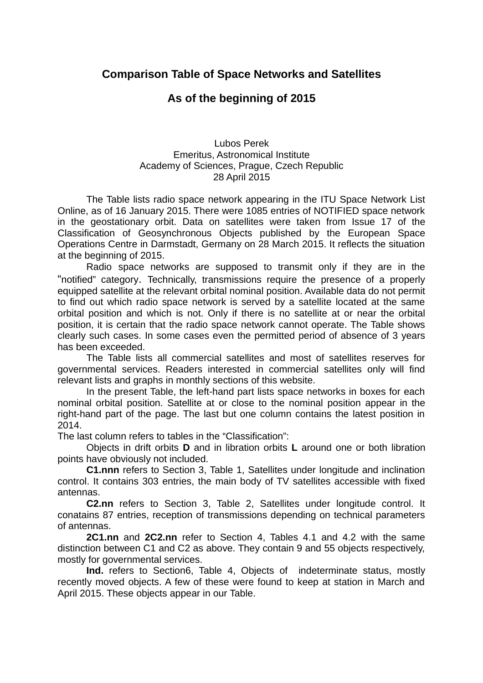## **Comparison Table of Space Networks and Satellites**

## **As of the beginning of 2015**

## Lubos Perek Emeritus, Astronomical Institute Academy of Sciences, Prague, Czech Republic 28 April 2015

The Table lists radio space network appearing in the ITU Space Network List Online, as of 16 January 2015. There were 1085 entries of NOTIFIED space network in the geostationary orbit. Data on satellites were taken from Issue 17 of the Classification of Geosynchronous Objects published by the European Space Operations Centre in Darmstadt, Germany on 28 March 2015. It reflects the situation at the beginning of 2015.

Radio space networks are supposed to transmit only if they are in the "notified" category. Technically, transmissions require the presence of a properly equipped satellite at the relevant orbital nominal position. Available data do not permit to find out which radio space network is served by a satellite located at the same orbital position and which is not. Only if there is no satellite at or near the orbital position, it is certain that the radio space network cannot operate. The Table shows clearly such cases. In some cases even the permitted period of absence of 3 years has been exceeded.

The Table lists all commercial satellites and most of satellites reserves for governmental services. Readers interested in commercial satellites only will find relevant lists and graphs in monthly sections of this website.

In the present Table, the left-hand part lists space networks in boxes for each nominal orbital position. Satellite at or close to the nominal position appear in the right-hand part of the page. The last but one column contains the latest position in 2014.

The last column refers to tables in the "Classification":

Objects in drift orbits **D** and in libration orbits **L** around one or both libration points have obviously not included.

**C1.nnn** refers to Section 3, Table 1, Satellites under longitude and inclination control. It contains 303 entries, the main body of TV satellites accessible with fixed antennas.

**C2.nn** refers to Section 3, Table 2, Satellites under longitude control. It conatains 87 entries, reception of transmissions depending on technical parameters of antennas.

**2C1.nn** and **2C2.nn** refer to Section 4, Tables 4.1 and 4.2 with the same distinction between C1 and C2 as above. They contain 9 and 55 objects respectively, mostly for governmental services.

**Ind.** refers to Section6, Table 4, Objects of indeterminate status, mostly recently moved objects. A few of these were found to keep at station in March and April 2015. These objects appear in our Table.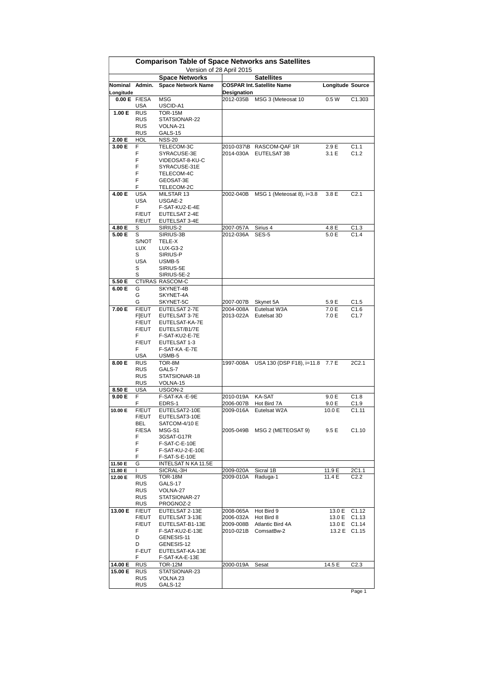|                           | <b>Comparison Table of Space Networks ans Satellites</b><br>Version of 28 April 2015 |                                  |                          |                                   |                         |                           |  |
|---------------------------|--------------------------------------------------------------------------------------|----------------------------------|--------------------------|-----------------------------------|-------------------------|---------------------------|--|
|                           |                                                                                      | <b>Space Networks</b>            |                          | <b>Satellites</b>                 |                         |                           |  |
| Nominal Admin.            |                                                                                      | <b>Space Network Name</b>        |                          | <b>COSPAR Int. Satellite Name</b> | <b>Longitude Source</b> |                           |  |
| Longitude<br>0.00 E F/ESA |                                                                                      | <b>MSG</b>                       | Designation<br>2012-035B | MSG 3 (Meteosat 10                | 0.5W                    | C1.303                    |  |
|                           | <b>USA</b>                                                                           | USCID-A1                         |                          |                                   |                         |                           |  |
| 1.00 E                    | <b>RUS</b>                                                                           | TOR-15M                          |                          |                                   |                         |                           |  |
|                           | <b>RUS</b>                                                                           | STATSIONAR-22                    |                          |                                   |                         |                           |  |
|                           | <b>RUS</b><br><b>RUS</b>                                                             | VOLNA-21<br>GALS-15              |                          |                                   |                         |                           |  |
| 2.00 E                    | HOL                                                                                  | <b>NSS-20</b>                    |                          |                                   |                         |                           |  |
| 3.00 E                    | F                                                                                    | TELECOM-3C                       |                          | 2010-037\B RASCOM-QAF1R           | 2.9 E                   | C1.1                      |  |
|                           | F                                                                                    | SYRACUSE-3E                      | 2014-030A                | EUTELSAT 3B                       | 3.1 E                   | C1.2                      |  |
|                           | F<br>F                                                                               | VIDEOSAT-8-KU-C<br>SYRACUSE-31E  |                          |                                   |                         |                           |  |
|                           | F                                                                                    | TELECOM-4C                       |                          |                                   |                         |                           |  |
|                           | F                                                                                    | GEOSAT-3E                        |                          |                                   |                         |                           |  |
|                           | F                                                                                    | TELECOM-2C                       |                          |                                   |                         |                           |  |
| 4.00 E                    | <b>USA</b><br><b>USA</b>                                                             | MILSTAR 13<br>USGAE-2            | 2002-040B                | MSG 1 (Meteosat 8), i=3.8         | 3.8 E                   | C2.1                      |  |
|                           | F.                                                                                   | F-SAT-KU2-E-4E                   |                          |                                   |                         |                           |  |
|                           | F/EUT                                                                                | EUTELSAT 2-4E                    |                          |                                   |                         |                           |  |
|                           | F/EUT                                                                                | EUTELSAT 3-4E                    |                          |                                   |                         |                           |  |
| 4.80 E<br>5.00 E          | S                                                                                    | SIRIUS-2<br>SIRIUS-3B            | 2007-057A<br>2012-036A   | Sirius 4<br>SES-5                 | 4.8 E<br>5.0 E          | C1.3<br>C1.4              |  |
|                           | S<br>S/NOT                                                                           | TELE-X                           |                          |                                   |                         |                           |  |
|                           | <b>LUX</b>                                                                           | LUX-G3-2                         |                          |                                   |                         |                           |  |
|                           | S                                                                                    | SIRIUS-P                         |                          |                                   |                         |                           |  |
|                           | USA<br>S                                                                             | USMB-5                           |                          |                                   |                         |                           |  |
|                           | S                                                                                    | SIRIUS-5E<br>SIRIUS-5E-2         |                          |                                   |                         |                           |  |
| 5.50 E                    |                                                                                      | CTI/RAS RASCOM-C                 |                          |                                   |                         |                           |  |
| 6.00 E                    | G                                                                                    | SKYNET-4B                        |                          |                                   |                         |                           |  |
|                           | G                                                                                    | SKYNET-4A                        |                          |                                   |                         |                           |  |
| 7.00 E                    | G<br>F/EUT                                                                           | SKYNET-5C<br>EUTELSAT 2-7E       | 2007-007B<br>2004-008A   | Skynet 5A<br>Eutelsat W3A         | 5.9 E<br>7.0 E          | C <sub>1.5</sub><br>C1.6  |  |
|                           | <b>F[EUT</b>                                                                         | EUTELSAT 3-7E                    | 2013-022A                | Eutelsat 3D                       | 7.0 E                   | C1.7                      |  |
|                           | F/EUT                                                                                | EUTELSAT-KA-7E                   |                          |                                   |                         |                           |  |
|                           | F/EUT                                                                                | EUTELST/B1/7E                    |                          |                                   |                         |                           |  |
|                           | F<br>F/EUT                                                                           | F-SAT-KU2-E-7E<br>EUTELSAT 1-3   |                          |                                   |                         |                           |  |
|                           | F                                                                                    | F-SAT-KA-E-7E                    |                          |                                   |                         |                           |  |
|                           | USA                                                                                  | USMB-5                           |                          |                                   |                         |                           |  |
| 8.00 E                    | <b>RUS</b>                                                                           | TOR-8M                           | 1997-008A                | USA 130 (DSP F18), i=11.8         | 7.7 E                   | 2C2.1                     |  |
|                           | RUS<br><b>RUS</b>                                                                    | GALS-7<br>STATSIONAR-18          |                          |                                   |                         |                           |  |
|                           | <b>RUS</b>                                                                           | VOLNA-15                         |                          |                                   |                         |                           |  |
| 8.50 E                    | <b>USA</b>                                                                           | USGON-2                          |                          |                                   |                         |                           |  |
| 9.00 E                    | F                                                                                    | F-SAT-KA-E-9E                    | 2010-019A                | <b>KA-SAT</b>                     | 9.0 E                   | C1.8                      |  |
| 10.00 E                   | F.<br><b>F/EUT</b>                                                                   | EDRS-1<br>EUTELSAT2-10E          | 2006-007B<br>2009-016A   | Hot Bird 7A<br>Eutelsat W2A       | 9.0 E<br>10.0 E         | C1.9<br>C1.11             |  |
|                           | F/EUT                                                                                | EUTELSAT3-10E                    |                          |                                   |                         |                           |  |
|                           | BEL                                                                                  | SATCOM-4/10 E                    |                          |                                   |                         |                           |  |
|                           | F/ESA                                                                                | MSG-S1                           |                          | 2005-049B MSG 2 (METEOSAT 9)      | 9.5E                    | C1.10                     |  |
|                           | F<br>F                                                                               | 3GSAT-G17R<br>F-SAT-C-E-10E      |                          |                                   |                         |                           |  |
|                           | F                                                                                    | F-SAT-KU-2-E-10E                 |                          |                                   |                         |                           |  |
|                           | F                                                                                    | F-SAT-S-E-10E                    |                          |                                   |                         |                           |  |
| 11.50 E                   | G<br>$\mathbf{L}$                                                                    | INTELSAT N KA 11.5E<br>SICRAL-3H | 2009-020A                |                                   |                         |                           |  |
| 11.80 E<br>12.00 E        | <b>RUS</b>                                                                           | TOR-18M                          | 2009-010A                | Sicral 1B<br>Raduga-1             | 11.9 E<br>11.4 E        | 2C1.1<br>C <sub>2.2</sub> |  |
|                           | <b>RUS</b>                                                                           | GALS-17                          |                          |                                   |                         |                           |  |
|                           | <b>RUS</b>                                                                           | VOLNA-27                         |                          |                                   |                         |                           |  |
|                           | <b>RUS</b><br><b>RUS</b>                                                             | STATSIONAR-27                    |                          |                                   |                         |                           |  |
| 13.00 E                   | F/EUT                                                                                | PROGNOZ-2<br>EUTELSAT 2-13E      | 2008-065A                | Hot Bird 9                        | 13.0 E                  | C1.12                     |  |
|                           | F/EUT                                                                                | EUTELSAT 3-13E                   | 2006-032A                | Hot Bird 8                        | 13.0 E                  | C1.13                     |  |
|                           | F/EUT                                                                                | EUTELSAT-B1-13E                  | 2009-008B                | Atlantic Bird 4A                  | 13.0 E                  | C1.14                     |  |
|                           | F.                                                                                   | F-SAT-KU2-E-13E                  | 2010-021B                | ComsatBw-2                        | 13.2 E                  | C <sub>1.15</sub>         |  |
|                           | D<br>D                                                                               | GENESIS-11<br>GENESIS-12         |                          |                                   |                         |                           |  |
|                           | F-EUT                                                                                | EUTELSAT-KA-13E                  |                          |                                   |                         |                           |  |
|                           | F.                                                                                   | F-SAT-KA-E-13E                   |                          |                                   |                         |                           |  |
| 14.00 E                   | <b>RUS</b>                                                                           | TOR-12M                          | 2000-019A                | Sesat                             | 14.5 E                  | C <sub>2.3</sub>          |  |
| 15.00 E                   | <b>RUS</b><br><b>RUS</b>                                                             | STATSIONAR-23<br>VOLNA 23        |                          |                                   |                         |                           |  |
|                           | RUS                                                                                  | GALS-12                          |                          |                                   |                         |                           |  |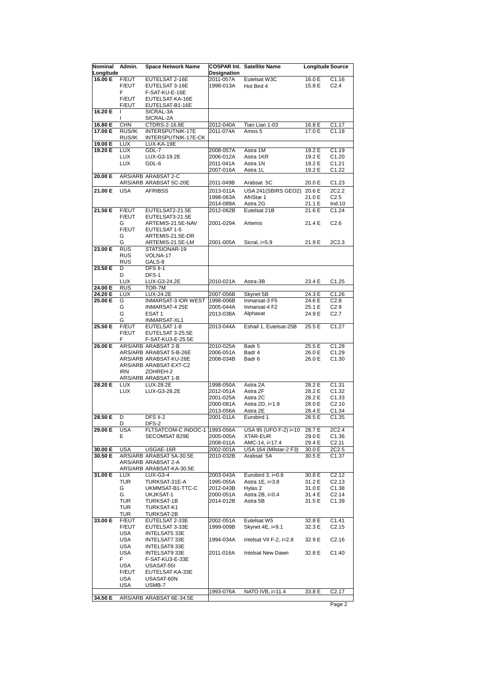| Nominal<br>Longitude | Admin.               | <b>Space Network Name</b>                       | <b>Designation</b>     | <b>COSPAR Int. Satellite Name</b>        | <b>Longitude Source</b> |                    |
|----------------------|----------------------|-------------------------------------------------|------------------------|------------------------------------------|-------------------------|--------------------|
| 16.00 E              | F/EUT                | EUTELSAT 2-16E                                  | 2011-057A              | Eutelsat W3C                             | 16.0 E                  | C1.16              |
|                      | F/EUT                | EUTELSAT 3-16E                                  | 1998-013A              | Hot Bird 4                               | 15.8 E                  | C <sub>2.4</sub>   |
|                      | F.                   | F-SAT-KU-E-16E                                  |                        |                                          |                         |                    |
|                      | F/EUT                | EUTELSAT-KA-16E                                 |                        |                                          |                         |                    |
|                      | F/EUT                | EUTELSAT-B1-16E                                 |                        |                                          |                         |                    |
| 16.20 E              | $\overline{1}$<br>I. | SICRAL-3A<br>SICRAL-2A                          |                        |                                          |                         |                    |
| 16.80 E              | <b>CHN</b>           | CTDRS-2-16.8E                                   | 2012-040A              | Tian Lian 1-03                           | 16.8 E                  | C1.17              |
| 17.00 E              | RUS/IK               | INTERSPUTNIK-17E                                | 2011-074A              | Amos 5                                   | 17.0 E                  | C1.18              |
|                      | RUS/IK               | INTERSPUTNIK-17E-CK                             |                        |                                          |                         |                    |
| 19.00 E              | <b>LUX</b>           | LUX-KA-19E                                      |                        |                                          |                         |                    |
| 19.20 E              | <b>LUX</b>           | GDL-7                                           | 2008-057A              | Astra 1M                                 | 19.2 E                  | C1.19              |
|                      | <b>LUX</b>           | LUX-G3-19.2E                                    | 2006-012A              | Astra 1KR                                | 19.2 E                  | C1.20              |
|                      | <b>LUX</b>           | GDL-6                                           | 2011-041A              | Astra 1N                                 | 19.2 E                  | C1.21              |
| 20.00 E              |                      | ARS/ARB ARABSAT 2-C                             | 2007-016A              | Astra 1L                                 | 19.2 E                  | C1.22              |
|                      |                      | ARS/ARB ARABSAT 5C-20E                          | 2011-049B              | Arabsat 5C                               | 20.0 E                  | C1.23              |
|                      |                      |                                                 |                        |                                          |                         |                    |
| 21.00 E              | <b>USA</b>           | <b>AFRIBSS</b>                                  | 2013-011A<br>1998-063A | USA 241(SBIRS GEO2) 20.6 E<br>AfriStar 1 | 21.0 E                  | 2C2.2<br>C2.5      |
|                      |                      |                                                 | 2014-089A              | Astra 2G                                 | 21.1 E                  | Ind.10             |
| 21.50 E              | F/EUT                | EUTELSAT2-21.5E                                 | 2012-062B              | Eutelsat 21B                             | 21.6 E                  | C1.24              |
|                      | F/EUT                | EUTELSAT3-21.5E                                 |                        |                                          |                         |                    |
|                      | G                    | ARTEMIS-21.5E-NAV                               | 2001-029A              | Artemis                                  | 21.4 E                  | C2.6               |
|                      | F/EUT                | EUTELSAT 1-5                                    |                        |                                          |                         |                    |
|                      | G                    | ARTEMIS-21.5E-DR                                |                        |                                          |                         |                    |
|                      | G                    | ARTEMIS-21.5E-LM                                | 2001-005A              | Sicral, i=5.9                            | 21.9 E                  | 2C2.3              |
| 23.00 E              | <b>RUS</b>           | STATSIONAR-19                                   |                        |                                          |                         |                    |
|                      | <b>RUS</b>           | VOLNA-17                                        |                        |                                          |                         |                    |
| 23.50 E              | <b>RUS</b><br>D      | GALS-8<br><b>DFS II-1</b>                       |                        |                                          |                         |                    |
|                      | D                    | DFS-1                                           |                        |                                          |                         |                    |
|                      | <b>LUX</b>           | LUX-G3-24.2E                                    | 2010-021A              | Astra-3B                                 | 23.4 E                  | C1.25              |
| 24.00 E              | <b>RUS</b>           | TOR-7M                                          |                        |                                          |                         |                    |
| 24.20 E              | <b>LUX</b>           | LUX-24.2E                                       | 2007-056B              | Skynet 5B                                | 24.3 E                  | C1.26              |
| 25.00 E              | G                    | INMARSAT-3 IOR WEST                             | 1998-006B              | Inmarsat-3 F5                            | 24.6 E                  | C2.8               |
|                      | G                    | INMARSAT-4 25E                                  | 2005-044A              | Inmarsat-4 F2                            | 25.1 E                  | C2.9               |
|                      | G                    | ESAT <sub>1</sub>                               | 2013-038A              | Alphasat                                 | 24.9 E                  | C2.7               |
| 25.50 E              | G<br>F/EUT           | INMARSAT-XL1                                    | 2013-044A              | Eshail 1, Eutelsat-25B                   | 25.5 E                  | C1.27              |
|                      | F/EUT                | EUTELSAT 1-8<br>EUTELSAT 3-25.5E                |                        |                                          |                         |                    |
|                      | F                    | F-SAT-KU3-E-25.5E                               |                        |                                          |                         |                    |
| 26.00 E              |                      | ARS/ARB ARABSAT 2-B                             | 2010-025A              | Badr 5                                   | 25.5 E                  | C1.28              |
|                      |                      | ARS/ARB ARABSAT 5-B-26E                         | 2006-051A              | Badr 4                                   | 26.0 E                  | C1.29              |
|                      |                      | ARS/ARB ARABSAT-KU-26E                          | 2008-034B              | Badr 6                                   | 26.0 E                  | C <sub>1.30</sub>  |
|                      |                      | ARS/ARB ARABSAT-EXT-C2                          |                        |                                          |                         |                    |
|                      | <b>IRN</b>           | ZOHREH-2                                        |                        |                                          |                         |                    |
|                      |                      | ARS/ARB ARABSAT 1-B                             |                        |                                          |                         |                    |
| 28.20 E              | <b>LUX</b>           | LUX-28.2E                                       | 1998-050A              | Astra 2A                                 | 28.2 E                  | C1.31<br>C1.32     |
|                      | <b>LUX</b>           | LUX-G3-28.2E                                    | 2012-051A<br>2001-025A | Astra 2F<br>Astra 2C                     | 28.2 E<br>28.2 E        | C <sub>1.33</sub>  |
|                      |                      |                                                 | 2000-081A              | Astra 2D, i=1.9                          | 28.0 E                  | C2.10              |
|                      |                      |                                                 | 2013-056A              | Astra 2E                                 | 28.4 E                  | C1.34              |
| 28.50 E              | D                    | DFS II-2                                        | 2001-011A              | Eurobird 1                               | 28.5 E                  | C <sub>1.35</sub>  |
|                      | D                    | DFS-2                                           |                        |                                          |                         |                    |
| 29.00 E              | <b>USA</b>           | FLTSATCOM-C INDOC-1  1993-056A                  |                        | USA 95 (UFO F-2) i=10                    | 28.7 E                  | 2C2.4              |
|                      | Е                    | SECOMSAT B29E                                   | 2005-005A              | XTAR-EUR                                 | 29.0 E                  | C1.36              |
|                      |                      |                                                 | 2008-011A              | AMC-14, i=17.4                           | 29.4 E                  | C2.11              |
| 30.00 E              | <b>USA</b>           | USGAE-16R                                       | 2002-001A              | USA 164 (Milstar-2 F3)                   | 30.0 E                  | 2C2.5              |
| 30.50 E              |                      | ARS/ARB ARABSAT 5A-30.5E<br>ARS/ARB ARABSAT 2-A | 2010-032B              | Arabsat 5A                               | 30.5 E                  | C <sub>1.37</sub>  |
|                      |                      | ARS/ARB ARABSAT-KA-30.5E                        |                        |                                          |                         |                    |
| 31.00 E              | <b>LUX</b>           | LUX-G3-4                                        | 2003-043A              | Eurobird $3$ , $i=0.6$                   | 30.8 E                  | C2.12              |
|                      | <b>TUR</b>           | TURKSAT-31E-A                                   | 1995-055A              | Astra 1E, i=3.8                          | 31.2 E                  | C2.13              |
|                      | G                    | UKMMSAT-B1-TTC-C                                | 2012-043B              | Hylas 2                                  | 31.0 E                  | C <sub>1.38</sub>  |
|                      | G                    | UKJKSAT-1                                       | 2000-051A              | Astra 2B, i=0.4                          | 31.4 E                  | C2.14              |
|                      | <b>TUR</b>           | TURKSAT-1B                                      | 2014-012B              | Astra 5B                                 | 31.5 E                  | C1.39              |
|                      | <b>TUR</b>           | TURKSAT-K1                                      |                        |                                          |                         |                    |
|                      | <b>TUR</b>           | TURKSAT-2B                                      |                        |                                          |                         |                    |
| 33.00 E              | F/EUT                | EUTELSAT 2-33E                                  | 2002-051A              | Eutelsat W5                              | 32.8 E                  | C1.41              |
|                      | F/EUT<br><b>USA</b>  | EUTELSAT 3-33E<br>INTELSAT5 33E                 | 1999-009B              | Skynet 4E, i=9.1                         | 32.3 E                  | C <sub>2</sub> .15 |
|                      | <b>USA</b>           | INTELSAT7 33E                                   | 1994-034A              | Intelsat VII F-2, i=2.8                  | 32.9 E                  | C2.16              |
|                      | <b>USA</b>           | INTELSAT8 33E                                   |                        |                                          |                         |                    |
|                      | <b>USA</b>           | INTELSAT9 33E                                   | 2011-016A              | Intelsat New Dawn                        | 32.8 E                  | C <sub>1.40</sub>  |
|                      | F                    | F-SAT-KU3-E-33E                                 |                        |                                          |                         |                    |
|                      | <b>USA</b>           | USASAT-55I                                      |                        |                                          |                         |                    |
|                      | F/EUT                | EUTELSAT-KA-33E                                 |                        |                                          |                         |                    |
|                      | <b>USA</b>           | USASAT-60N                                      |                        |                                          |                         |                    |
|                      | USA                  | USMB-7                                          |                        |                                          |                         |                    |
|                      |                      |                                                 | 1993-076A              | NATO IVB, i=11.4                         | 33.8 E                  | C2.17              |
| 34.50 E              |                      | ARS/ARB ARABSAT 6E-34.5E                        |                        |                                          |                         |                    |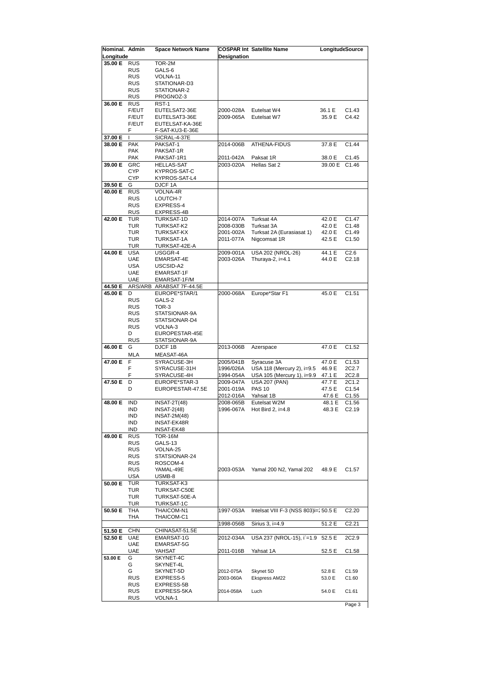| Nominal. Admin<br>Longitude |                   | <b>Space Network Name</b> | Designation | <b>COSPAR Int Satellite Name</b>      | Longitud Source |                   |
|-----------------------------|-------------------|---------------------------|-------------|---------------------------------------|-----------------|-------------------|
| 35.00 E RUS                 |                   | TOR-2M                    |             |                                       |                 |                   |
|                             | <b>RUS</b>        | GALS-6                    |             |                                       |                 |                   |
|                             | RUS               | VOLNA-11                  |             |                                       |                 |                   |
|                             | <b>RUS</b>        | STATIONAR-D3              |             |                                       |                 |                   |
|                             | RUS               | STATIONAR-2               |             |                                       |                 |                   |
|                             | RUS               | PROGNOZ-3                 |             |                                       |                 |                   |
| 36.00 E                     | <b>RUS</b>        | RST-1                     |             |                                       |                 |                   |
|                             | F/EUT             | EUTELSAT2-36E             | 2000-028A   | Eutelsat W4                           | 36.1 E          | C1.43             |
|                             | F/EUT             | EUTELSAT3-36E             | 2009-065A   | Eutelsat W7                           | 35.9 E          | C4.42             |
|                             | <b>F/EUT</b>      | EUTELSAT-KA-36E           |             |                                       |                 |                   |
|                             | F                 | F-SAT-KU3-E-36E           |             |                                       |                 |                   |
| 37.00 E                     | L                 | SICRAL-4-37E              |             |                                       |                 |                   |
| 38.00 E                     | <b>PAK</b>        | PAKSAT-1                  | 2014-006B   | <b>ATHENA-FIDUS</b>                   | 37.8 E          | C1.44             |
|                             | <b>PAK</b>        | PAKSAT-1R                 |             |                                       |                 |                   |
|                             | <b>PAK</b>        | PAKSAT-1R1                | 2011-042A   | Paksat 1R                             | 38.0 E          | C1.45             |
| 39.00 E                     | <b>GRC</b>        | <b>HELLAS-SAT</b>         | 2003-020A   | Hellas Sat 2                          | 39.00 E         | C <sub>1.46</sub> |
|                             | <b>CYP</b>        | KYPROS-SAT-C              |             |                                       |                 |                   |
|                             | <b>CYP</b>        | KYPROS-SAT-L4             |             |                                       |                 |                   |
| 39.50 E                     | G                 | DJCF 1A                   |             |                                       |                 |                   |
| 40.00 E                     | <b>RUS</b>        | VOLNA-4R                  |             |                                       |                 |                   |
|                             | <b>RUS</b>        | LOUTCH-7                  |             |                                       |                 |                   |
|                             | <b>RUS</b>        | EXPRESS-4                 |             |                                       |                 |                   |
|                             | <b>RUS</b>        | EXPRESS-4B                |             |                                       |                 |                   |
| 42.00 E                     | TUR               | TURKSAT-1D                | 2014-007A   | Turksat 4A                            | 42.0 E          | C1.47             |
|                             | TUR               | TURKSAT-K2                | 2008-030B   | Turksat 3A                            | 42.0 E          | C1.48             |
|                             | TUR               | TURKSAT-KX                | 2001-002A   | Turksat 2A (Eurasiasat 1)             | 42.0 E          | C <sub>1.49</sub> |
|                             | TUR               | <b>TURKSAT-1A</b>         | 2011-077A   | Nigcomsat 1R                          | 42.5 E          | C <sub>1.50</sub> |
|                             | TUR               | TURKSAT-42E-A             |             |                                       |                 |                   |
| 44.00 E                     | <b>USA</b>        | USGGR-4                   | 2009-001A   | USA 202 (NROL-26)                     | 44.1 E          | C2.6              |
|                             | <b>UAE</b>        | EMARSAT-4E                | 2003-026A   | Thuraya-2, $i=4.1$                    | 44.0 E          | C2.18             |
|                             | <b>USA</b>        | USCSID-A2                 |             |                                       |                 |                   |
|                             | <b>UAE</b>        | EMARSAT-1F                |             |                                       |                 |                   |
|                             | <b>UAE</b>        | EMARSAT-1F/M              |             |                                       |                 |                   |
| 44.50 E                     |                   | ARS/ARB ARABSAT 7F-44.5E  |             |                                       |                 |                   |
| 45.00 E                     | D                 | EUROPE*STAR/1             | 2000-068A   | Europe*Star F1                        | 45.0 E          | C <sub>1.51</sub> |
|                             | <b>RUS</b>        | GALS-2                    |             |                                       |                 |                   |
|                             | <b>RUS</b>        | TOR-3                     |             |                                       |                 |                   |
|                             | <b>RUS</b>        | STATSIONAR-9A             |             |                                       |                 |                   |
|                             | RUS               | STATSIONAR-D4             |             |                                       |                 |                   |
|                             | <b>RUS</b>        | VOLNA-3                   |             |                                       |                 |                   |
|                             | D                 | EUROPESTAR-45E            |             |                                       |                 |                   |
|                             | <b>RUS</b>        | STATSIONAR-9A             |             |                                       |                 |                   |
| 46.00 E                     | G                 | DJCF 1B                   | 2013-006B   | Azerspace                             | 47.0 E          | C1.52             |
|                             | MLA               | MEASAT-46A                |             |                                       |                 |                   |
| 47.00 E                     | F                 | SYRACUSE-3H               | 2005/041B   | Syracuse 3A                           | 47.0 E          | C <sub>1.53</sub> |
|                             | F                 | SYRACUSE-31H              | 1996/026A   | USA 118 (Mercury 2), i=9.5            | 46.9 E          | 2C2.7             |
|                             | F                 | SYRACUSE-4H               | 1994-054A   | USA 105 (Mercury 1), i=9.9            | 47.1 E          | 2C2.8             |
| 47.50 E                     | D                 | EUROPE*STAR-3             | 2009-047A   | <b>USA 207 (PAN)</b>                  | 47.7 E          | 2C1.2             |
|                             | D                 | EUROPESTAR-47.5E          | 2001-019A   | <b>PAS 10</b>                         | 47.5 E          | C <sub>1.54</sub> |
|                             |                   |                           | 2012-016A   | Yahsat 1B                             | 47.6 E          | C <sub>1.55</sub> |
| 48.00 E                     | <b>IND</b>        | $INSAT-2T(48)$            | 2008-065B   | Eutelsat W2M                          | 48.1 E          | C1.56             |
|                             | IND.              | INSAI-2(48)               |             | 1996-067A Hot Bird 2, i=4.8           | 48.3 E C2.19    |                   |
|                             | IND               | $INSAT-2M(48)$            |             |                                       |                 |                   |
|                             | IND               | <b>INSAT-EK48R</b>        |             |                                       |                 |                   |
|                             | IND               | <b>INSAT-EK48</b>         |             |                                       |                 |                   |
| 49.00 E                     | <b>RUS</b>        | TOR-16M                   |             |                                       |                 |                   |
|                             | <b>RUS</b>        | GALS-13                   |             |                                       |                 |                   |
|                             | <b>RUS</b>        | VOLNA-25                  |             |                                       |                 |                   |
|                             | <b>RUS</b>        | STATSIONAR-24             |             |                                       |                 |                   |
|                             | <b>RUS</b>        | ROSCOM-4                  |             |                                       |                 |                   |
|                             | <b>RUS</b>        | YAMAL-49E                 | 2003-053A   | Yamal 200 N2, Yamal 202               | 48.9 E          | C <sub>1.57</sub> |
|                             | USA               | USMB-8                    |             |                                       |                 |                   |
| 50.00 E                     | TUR               | TURKSAT-K3                |             |                                       |                 |                   |
|                             | TUR               | TURKSAT-C50E              |             |                                       |                 |                   |
|                             | TUR               | TURKSAT-50E-A             |             |                                       |                 |                   |
|                             | TUR               | <b>TURKSAT-1C</b>         |             |                                       |                 |                   |
| 50.50 E                     | THA               | THAICOM-N1                | 1997-053A   | Intelsat VIII F-3 (NSS 803)i=' 50.5 E |                 | C2.20             |
|                             |                   | THAICOM-C1                |             |                                       |                 |                   |
|                             | THA               |                           |             | Sirius 3, i=4.9                       | 51.2 E          | C2.21             |
|                             |                   |                           | 1998-056B   |                                       |                 |                   |
| 51.50 E                     | <b>CHN</b>        | CHINASAT-51.5E            |             |                                       |                 |                   |
| 52.50 E                     | <b>UAE</b>        | EMARSAT-1G                | 2012-034A   | USA 237 (NROL-15), i'=1.9 52.5 E      |                 | 2C2.9             |
|                             | UAE               | EMARSAT-5G                |             |                                       |                 |                   |
|                             | <b>UAE</b>        | YAHSAT                    | 2011-016B   | Yahsat 1A                             | 52.5 E          | C1.58             |
| 53.00 E                     | G                 | SKYNET-4C                 |             |                                       |                 |                   |
|                             | G                 | SKYNET-4L                 |             |                                       |                 |                   |
|                             | G                 | SKYNET-5D                 | 2012-075A   | Skynet 5D                             | 52.8 E          | C <sub>1.59</sub> |
|                             | <b>RUS</b>        | EXPRESS-5                 | 2003-060A   | Ekspress AM22                         | 53.0 E          | C1.60             |
|                             | RUS               | EXPRESS-5B                |             |                                       |                 |                   |
|                             | <b>RUS</b><br>RUS | EXPRESS-5KA<br>VOLNA-1    | 2014-058A   | Luch                                  | 54.0 E          | C1.61             |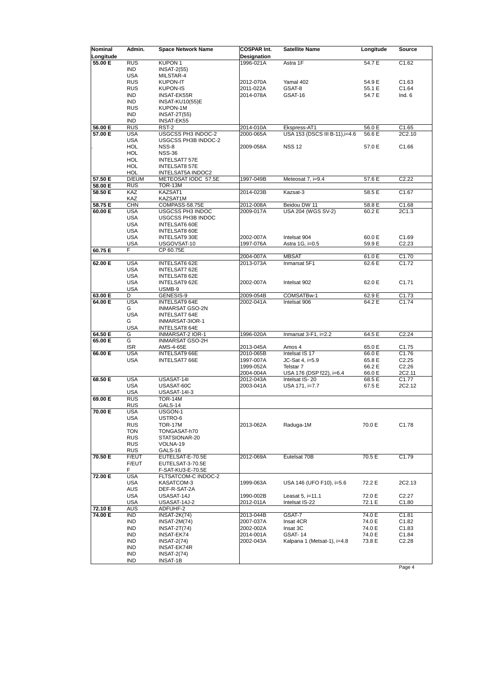| Nominal<br>Longitude | Admin.            | <b>Space Network Name</b>                      | <b>COSPAR Int.</b><br>Designation | <b>Satellite Name</b>          | Longitude | Source                     |
|----------------------|-------------------|------------------------------------------------|-----------------------------------|--------------------------------|-----------|----------------------------|
| 55.00 E              | <b>RUS</b>        | KUPON <sub>1</sub>                             | 1996-021A                         | Astra 1F                       | 54.7 E    | C1.62                      |
|                      | <b>IND</b>        | <b>INSAT-2(55)</b>                             |                                   |                                |           |                            |
|                      | <b>USA</b>        | MILSTAR-4                                      |                                   |                                |           |                            |
|                      | <b>RUS</b>        | <b>KUPON-IT</b>                                | 2012-070A                         | Yamal 402                      | 54.9 E    | C <sub>1.63</sub>          |
|                      | <b>RUS</b>        | <b>KUPON-IS</b>                                | 2011-022A                         | GSAT-8                         | 55.1 E    | C <sub>1.64</sub>          |
|                      | <b>IND</b>        | INSAT-EK55R                                    | 2014-078A                         | GSAT-16                        | 54.7 E    | Ind. $6$                   |
|                      | <b>IND</b>        | INSAT-KU10(55)E                                |                                   |                                |           |                            |
|                      | <b>RUS</b>        | KUPON-1M                                       |                                   |                                |           |                            |
|                      | <b>IND</b>        | <b>INSAT-2T(55)</b>                            |                                   |                                |           |                            |
|                      | <b>IND</b>        | INSAT-EK55                                     |                                   |                                |           |                            |
| 56.00 E              | <b>RUS</b>        | RST-2                                          | 2014-010A                         | Ekspress-AT1                   | 56.0 E    | C1.65                      |
| 57.00 E              | <b>USA</b>        | USGCSS PH3 INDOC-2                             | 2000-065A                         | USA 153 (DSCS III B-11), i=4.6 | 56.6 E    | 2C2.10                     |
|                      | <b>USA</b>        | USGCSS PH3B INDOC-2                            |                                   |                                |           |                            |
|                      | <b>HOL</b>        | NSS-8                                          | 2009-058A                         | <b>NSS 12</b>                  | 57.0 E    | C <sub>1.66</sub>          |
|                      | <b>HOL</b>        | <b>NSS-36</b>                                  |                                   |                                |           |                            |
|                      | <b>HOL</b>        | <b>INTELSAT7 57E</b>                           |                                   |                                |           |                            |
|                      | HOL<br><b>HOL</b> | <b>INTELSAT8 57E</b><br>INTELSAT5A INDOC2      |                                   |                                |           |                            |
| 57.50 E              | D/EUM             | METEOSAT IODC 57.5E                            | 1997-049B                         | Meteosat 7, i=9.4              | 57.6 E    | C2.22                      |
| 58.00 E              | <b>RUS</b>        | TOR-13M                                        |                                   |                                |           |                            |
| 58.50 E              | <b>KAZ</b>        | KAZSAT1                                        | 2014-023B                         | Kazsat-3                       | 58.5 E    | C1.67                      |
|                      | KAZ               | KAZSAT1M                                       |                                   |                                |           |                            |
| 58.75 E              | <b>CHN</b>        | COMPASS-58.75E                                 | 2012-008A                         | Beidou DW 11                   | 58.8 E    | C1.68                      |
| 60.00 E              | <b>USA</b>        | USGCSS PH3 INDOC                               | 2009-017A                         | USA 204 (WGS SV-2)             | 60.2 E    | 2C1.3                      |
|                      | <b>USA</b>        | USGCSS PH3B INDOC                              |                                   |                                |           |                            |
|                      | <b>USA</b>        | <b>INTELSAT6 60E</b>                           |                                   |                                |           |                            |
|                      | <b>USA</b>        | INTELSAT8 60E                                  |                                   |                                |           |                            |
|                      | <b>USA</b>        | INTELSAT9 30E                                  | 2002-007A                         | Intelsat 904                   | 60.0 E    | C <sub>1.69</sub>          |
|                      | <b>USA</b>        | USGOVSAT-10                                    | 1997-076A                         | Astra 1G, i=0.5                | 59.9 E    | C2.23                      |
| 60.75 E              | F                 | CP 60.75E                                      |                                   |                                |           |                            |
|                      |                   |                                                | 2004-007A                         | <b>MBSAT</b>                   | 61.0 E    | C1.70                      |
| 62.00 E              | <b>USA</b>        | <b>INTELSAT6 62E</b>                           | 2013-073A                         | Inmarsat 5F1                   | 62.6 E    | C1.72                      |
|                      | <b>USA</b>        | INTELSAT7 62E                                  |                                   |                                |           |                            |
|                      | <b>USA</b>        | <b>INTELSAT8 62E</b>                           |                                   |                                |           |                            |
|                      | <b>USA</b>        | <b>INTELSAT9 62E</b>                           | 2002-007A                         | Intelsat 902                   | 62.0 E    | C1.71                      |
|                      | <b>USA</b>        | USMB-9                                         |                                   |                                |           |                            |
| 63.00 E              | D                 | GENESIS-9                                      | 2009-054B                         | COMSATBw-1                     | 62.9 E    | C <sub>1.73</sub><br>C1.74 |
| 64.00 E              | <b>USA</b><br>G   | <b>INTELSAT9 64E</b><br><b>INMARSAT GSO-2N</b> | 2002-041A                         | Intelsat 906                   | 64.2 E    |                            |
|                      | <b>USA</b>        | <b>INTELSAT7 64E</b>                           |                                   |                                |           |                            |
|                      | G                 | INMARSAT-3IOR-1                                |                                   |                                |           |                            |
|                      | <b>USA</b>        | <b>INTELSAT8 64E</b>                           |                                   |                                |           |                            |
| 64.50 E              | G                 | INMARSAT-2 IOR-1                               | 1996-020A                         | Inmarsat $3-F1$ , $i=2.2$      | 64.5 E    | C2.24                      |
| 65.00 E              | G                 | <b>INMARSAT GSO-2H</b>                         |                                   |                                |           |                            |
|                      | <b>ISR</b>        | AMS-4-65E                                      | 2013-045A                         | Amos 4                         | 65.0 E    | C1.75                      |
| 66.00 E              | <b>USA</b>        | <b>INTELSAT9 66E</b>                           | 2010-065B                         | Intelsat IS 17                 | 66.0 E    | C1.76                      |
|                      | <b>USA</b>        | INTELSAT7 66E                                  | 1997-007A                         | JC-Sat 4, i=5.9                | 65.8 E    | C2.25                      |
|                      |                   |                                                | 1999-052A                         | Telstar 7                      | 66.2 E    | C2.26                      |
|                      |                   |                                                | 2004-004A                         | USA 176 (DSP f22), i=6.4       | 66.0 E    | 2C2.11                     |
| 68.50 E              | <b>USA</b>        | USASAT-14I                                     | 2012-043A                         | Intelsat IS-20                 | 68.5 E    | C1.77                      |
|                      | <b>USA</b>        | USASAT-60C                                     | 2003-041A                         | USA 171, i=7.7                 | 67.5 E    | 2C2.12                     |
|                      | <b>USA</b>        | <b>USASAT-14I-3</b>                            |                                   |                                |           |                            |
| 69.00 E              | <b>RUS</b>        | <b>TOR-14M</b>                                 |                                   |                                |           |                            |
|                      | <b>RUS</b>        | GALS-14                                        |                                   |                                |           |                            |
| 70.00 E              | <b>USA</b>        | USGON-1                                        |                                   |                                |           |                            |
|                      | <b>USA</b>        | USTRO-6                                        |                                   |                                |           |                            |
|                      | <b>RUS</b>        | TOR-17M                                        | 2013-062A                         | Raduga-1M                      | 70.0 E    | C1.78                      |
|                      | TON<br><b>RUS</b> | TONGASAT-h70                                   |                                   |                                |           |                            |
|                      | <b>RUS</b>        | STATSIONAR-20<br>VOLNA-19                      |                                   |                                |           |                            |
|                      | <b>RUS</b>        | GALS-16                                        |                                   |                                |           |                            |
| 70.50 E              | F/EUT             | EUTELSAT-E-70.5E                               | 2012-069A                         | Eutelsat 70B                   | 70.5 E    | C1.79                      |
|                      | F/EUT             | EUTELSAT-3-70.5E                               |                                   |                                |           |                            |
|                      | F                 | F-SAT-KU3-E-70.5E                              |                                   |                                |           |                            |
| 72.00 E              | <b>USA</b>        | FLTSATCOM-C INDOC-2                            |                                   |                                |           |                            |
|                      | <b>USA</b>        | KASATCOM-3                                     | 1999-063A                         | USA 146 (UFO F10), i=5.6       | 72.2 E    | 2C2.13                     |
|                      | <b>AUS</b>        | DEF-R-SAT-2A                                   |                                   |                                |           |                            |
|                      | <b>USA</b>        | USASAT-14J                                     | 1990-002B                         | Leasat $5$ , $i=11.1$          | 72.0 E    | C2.27                      |
|                      | <b>USA</b>        | <b>USASAT-14J-2</b>                            | 2012-011A                         | Intelsat IS-22                 | 72.1 E    | C <sub>1.80</sub>          |
| 72.10 E              | AUS               | ADFUHF-2                                       |                                   |                                |           |                            |
| 74.00 E              | <b>IND</b>        | $INSAT-2K(74)$                                 | 2013-044B                         | GSAT-7                         | 74.0 E    | C <sub>1.81</sub>          |
|                      | IND               | $INSAT-2M(74)$                                 | 2007-037A                         | Insat 4CR                      | 74.0 E    | C <sub>1.82</sub>          |
|                      | <b>IND</b>        | $INSAT-2T(74)$                                 | 2002-002A                         | Insat 3C                       | 74.0 E    | C <sub>1.83</sub>          |
|                      | IND               | INSAT-EK74                                     | 2014-001A                         | <b>GSAT-14</b>                 | 74.0 E    | C <sub>1.84</sub>          |
|                      | IND               | $INSAT-2(74)$                                  | 2002-043A                         | Kalpana 1 (Metsat-1), i=4.8    | 73.8 E    | C2.28                      |
|                      | <b>IND</b>        | INSAT-EK74R                                    |                                   |                                |           |                            |
|                      | <b>IND</b>        | $INSAT-2(74)$                                  |                                   |                                |           |                            |
|                      | IND               | INSAT-1B                                       |                                   |                                |           |                            |
|                      |                   |                                                |                                   |                                |           | Page 4                     |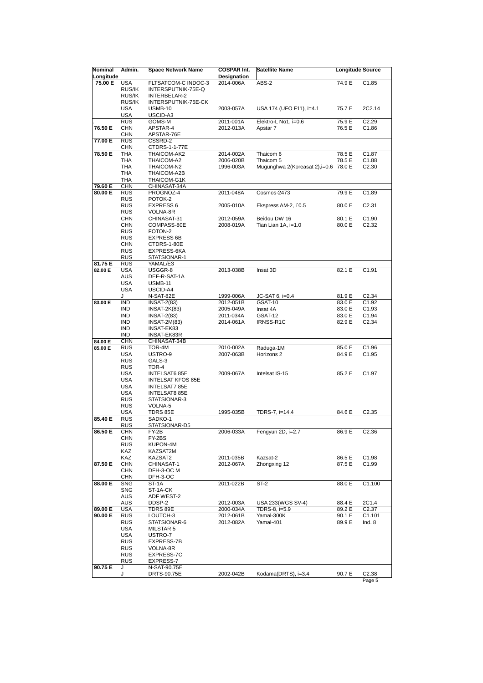| Nominal            | Admin.                   | <b>Space Network Name</b>                 | <b>COSPAR Int.</b> | <b>Satellite Name</b>                 | <b>Longitude Source</b> |                   |
|--------------------|--------------------------|-------------------------------------------|--------------------|---------------------------------------|-------------------------|-------------------|
| Longitude          |                          |                                           | <b>Designation</b> |                                       |                         |                   |
| 75.00 E            | <b>USA</b>               | FLTSATCOM-C INDOC-3                       | 2014-006A          | ABS-2                                 | 74.9 E                  | C <sub>1.85</sub> |
|                    | RUS/IK<br>RUS/IK         | INTERSPUTNIK-75E-Q<br>INTERBELAR-2        |                    |                                       |                         |                   |
|                    | RUS/IK                   | INTERSPUTNIK-75E-CK                       |                    |                                       |                         |                   |
|                    | <b>USA</b>               | <b>USMB-10</b>                            | 2003-057A          | USA 174 (UFO F11), i=4.1              | 75.7 E                  | 2C2.14            |
|                    | <b>USA</b>               | USCID-A3                                  |                    |                                       |                         |                   |
|                    | <b>RUS</b>               | GOMS-M                                    | 2011-001A          | Elektro-L No1, i=0.6                  | 75.9E                   | C2.29             |
| 76.50 E            | CHN                      | APSTAR-4                                  | 2012-013A          | Apstar 7                              | 76.5 E                  | C1.86             |
|                    | <b>CHN</b>               | APSTAR-76E                                |                    |                                       |                         |                   |
| 77.00 E            | <b>RUS</b>               | CSSRD-2                                   |                    |                                       |                         |                   |
| 78.50 E            | <b>CHN</b><br><b>THA</b> | CTDRS-1-1-77E<br>THAICOM-AK2              | 2014-002A          | Thaicom 6                             | 78.5 E                  | C <sub>1.87</sub> |
|                    | THA                      | THAICOM-A2                                | 2006-020B          | Thaicom 5                             | 78.5 E                  | C1.88             |
|                    | <b>THA</b>               | THAICOM-N2                                | 1996-003A          | Mugunghwa 2(Koreasat 2), i=0.6 78.0 E |                         | C2.30             |
|                    | THA                      | THAICOM-A2B                               |                    |                                       |                         |                   |
|                    | <b>THA</b>               | THAICOM-G1K                               |                    |                                       |                         |                   |
| 79.60 E            | <b>CHN</b>               | CHINASAT-34A                              |                    |                                       |                         |                   |
| 80.00 E            | <b>RUS</b>               | PROGNOZ-4                                 | 2011-048A          | Cosmos-2473                           | 79.9 E                  | C1.89             |
|                    | <b>RUS</b>               | POTOK-2                                   |                    |                                       |                         |                   |
|                    | <b>RUS</b><br><b>RUS</b> | <b>EXPRESS 6</b><br>VOLNA-8R              | 2005-010A          | Ekspress AM-2, i'0.5                  | 80.0 E                  | C2.31             |
|                    | <b>CHN</b>               | CHINASAT-31                               | 2012-059A          | Beidou DW 16                          | 80.1 E                  | C <sub>1.90</sub> |
|                    | <b>CHN</b>               | COMPASS-80E                               | 2008-019A          | Tian Lian $1A$ , i= $1.0$             | 80.0 E                  | C2.32             |
|                    | <b>RUS</b>               | FOTON-2                                   |                    |                                       |                         |                   |
|                    | <b>RUS</b>               | <b>EXPRESS 6B</b>                         |                    |                                       |                         |                   |
|                    | <b>CHN</b>               | CTDRS-1-80E                               |                    |                                       |                         |                   |
|                    | <b>RUS</b>               | EXPRESS-6KA                               |                    |                                       |                         |                   |
|                    | <b>RUS</b>               | STATSIONAR-1                              |                    |                                       |                         |                   |
| 81.75 E<br>82.00 E | <b>RUS</b><br><b>USA</b> | YAMAL/E3<br>USGGR-8                       | 2013-038B          | Insat 3D                              | 82.1 E                  | C1.91             |
|                    | AUS                      | DEF-R-SAT-1A                              |                    |                                       |                         |                   |
|                    | <b>USA</b>               | <b>USMB-11</b>                            |                    |                                       |                         |                   |
|                    | <b>USA</b>               | USCID-A4                                  |                    |                                       |                         |                   |
|                    | J                        | N-SAT-82E                                 | 1999-006A          | JC-SAT 6, i=0.4                       | 81.9 E                  | C <sub>2.34</sub> |
| 83.00 E            | <b>IND</b>               | <b>INSAT-2(83)</b>                        | 2012-051B          | GSAT-10                               | 83.0 E                  | C <sub>1.92</sub> |
|                    | IND                      | INSAT-2K(83)                              | 2005-049A          | Insat 4A                              | 83.0 E                  | C <sub>1.93</sub> |
|                    | <b>IND</b>               | <b>INSAT-2(83)</b>                        | 2011-034A          | GSAT-12                               | 83.0 E                  | C1.94             |
|                    | <b>IND</b><br><b>IND</b> | <b>INSAT-2M(83)</b>                       | 2014-061A          | IRNSS-R1C                             | 82.9 E                  | C <sub>2.34</sub> |
|                    | <b>IND</b>               | INSAT-EK83<br>INSAT-EK83R                 |                    |                                       |                         |                   |
| 84.00 E            | <b>CHN</b>               | CHINASAT-34B                              |                    |                                       |                         |                   |
| 85.00 E            | <b>RUS</b>               | TOR-4M                                    | 2010-002A          | Raduga-1M                             | 85.0 E                  | C1.96             |
|                    | <b>USA</b>               | USTRO-9                                   | 2007-063B          | Horizons 2                            | 84.9 E                  | C1.95             |
|                    | <b>RUS</b>               | GALS-3                                    |                    |                                       |                         |                   |
|                    | <b>RUS</b>               | TOR-4                                     |                    |                                       |                         |                   |
|                    | <b>USA</b><br><b>USA</b> | INTELSAT6 85E                             | 2009-067A          | Intelsat IS-15                        | 85.2 E                  | C <sub>1.97</sub> |
|                    | <b>USA</b>               | <b>INTELSAT KFOS 85E</b><br>INTELSAT7 85E |                    |                                       |                         |                   |
|                    | <b>USA</b>               | <b>INTELSAT8 85E</b>                      |                    |                                       |                         |                   |
|                    | <b>RUS</b>               | STATSIONAR-3                              |                    |                                       |                         |                   |
|                    | <b>RUS</b>               | VOLNA-5                                   |                    |                                       |                         |                   |
|                    | <b>USA</b>               | TDRS 85E                                  | 1995-035B          | TDRS-7, i=14.4                        | 84.6 E                  | C2.35             |
| 85.40 E            | <b>RUS</b>               | SADKO-1                                   |                    |                                       |                         |                   |
|                    | <b>RUS</b>               | STATSIONAR-D5                             |                    |                                       |                         |                   |
| 86.50 E            | CHN<br>CHN               | FY-2B<br>FY-2BS                           | 2006-033A          | Fengyun 2D, i=2.7                     | 86.9 E                  | C2.36             |
|                    | <b>RUS</b>               | KUPON-4M                                  |                    |                                       |                         |                   |
|                    | KAZ                      | KAZSAT2M                                  |                    |                                       |                         |                   |
|                    | KAZ                      | KAZSAT2                                   | 2011-035B          | Kazsat-2                              | 86.5 E                  | C <sub>1.98</sub> |
| 87.50 E            | <b>CHN</b>               | CHINASAT-1                                | 2012-067A          | Zhongxing 12                          | 87.5 E                  | C1.99             |
|                    | <b>CHN</b>               | DFH-3-OC M                                |                    |                                       |                         |                   |
|                    | <b>CHN</b>               | DFH-3-OC                                  |                    |                                       |                         |                   |
| 88.00 E            | <b>SNG</b><br><b>SNG</b> | ST-1A<br>ST-1A-CK                         | 2011-022B          | $ST-2$                                | 88.0 E                  | C1.100            |
|                    | AUS                      | ADF WEST-2                                |                    |                                       |                         |                   |
|                    | AUS                      | DDSP-2                                    | 2012-003A          | USA 233(WGS SV-4)                     | 88.4 E                  | 2C1.4             |
| 89.00 E            | <b>USA</b>               | TDRS 89E                                  | 2000-034A          | TDRS-8, i=5.9                         | 89.2 E                  | C <sub>2.37</sub> |
| 90.00 E            | <b>RUS</b>               | LOUTCH-3                                  | 2012-061B          | Yamal-300K                            | 90.1 E                  | C1.101            |
|                    | RUS                      | STATSIONAR-6                              | 2012-082A          | Yamal-401                             | 89.9 E                  | Ind. $8$          |
|                    | USA                      | MILSTAR 5                                 |                    |                                       |                         |                   |
|                    | USA                      | USTRO-7                                   |                    |                                       |                         |                   |
|                    | RUS<br><b>RUS</b>        | EXPRESS-7B<br>VOLNA-8R                    |                    |                                       |                         |                   |
|                    | <b>RUS</b>               | EXPRESS-7C                                |                    |                                       |                         |                   |
|                    | <b>RUS</b>               | EXPRESS-7                                 |                    |                                       |                         |                   |
| 90.75 E            | J                        | N-SAT-90.75E                              |                    |                                       |                         |                   |
|                    | J                        | DRTS-90.75E                               | 2002-042B          | Kodama(DRTS), i=3.4                   | 90.7 E                  | C <sub>2.38</sub> |
|                    |                          |                                           |                    |                                       |                         | Page 5            |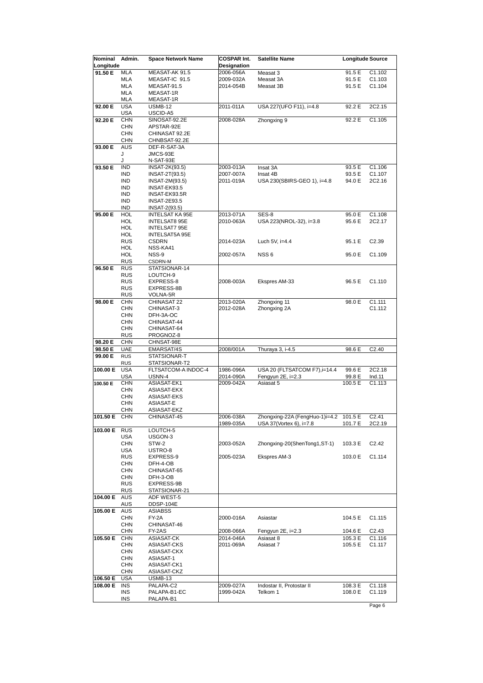| Nominal   | Admin.                   | <b>Space Network Name</b>     | <b>COSPAR Int.</b> | <b>Satellite Name</b>          | <b>Longitude Source</b> |                    |
|-----------|--------------------------|-------------------------------|--------------------|--------------------------------|-------------------------|--------------------|
| Longitude |                          |                               | <b>Designation</b> |                                |                         |                    |
| 91.50 E   | MLA                      | MEASAT-AK 91.5                | 2006-056A          | Measat 3                       | 91.5 E                  | C1.102             |
|           | <b>MLA</b>               | MEASAT-IC 91.5                | 2009-032A          | Measat 3A                      | 91.5 E                  | C <sub>1.103</sub> |
|           | MLA                      | MEASAT-91.5                   | 2014-054B          | Measat 3B                      | 91.5 E                  | C1.104             |
|           | MLA                      | <b>MEASAT-1R</b>              |                    |                                |                         |                    |
|           | MLA                      | MEASAT-1R                     |                    |                                |                         |                    |
| 92.00 E   | <b>USA</b>               | <b>USMB-12</b>                | 2011-011A          | USA 227(UFO F11), i=4.8        | 92.2 E                  | 2C2.15             |
|           | <b>USA</b>               | USCID-A5                      |                    |                                |                         |                    |
| 92.20 E   | <b>CHN</b>               | SINOSAT-92.2E                 | 2008-028A          | Zhongxing 9                    | 92.2 E                  | C1.105             |
|           | <b>CHN</b>               | APSTAR-92E                    |                    |                                |                         |                    |
|           | <b>CHN</b>               | CHINASAT 92.2E                |                    |                                |                         |                    |
|           | <b>CHN</b><br><b>AUS</b> | CHNBSAT-92.2E<br>DEF-R-SAT-3A |                    |                                |                         |                    |
| 93.00 E   | J                        | JMCS-93E                      |                    |                                |                         |                    |
|           | J                        | N-SAT-93E                     |                    |                                |                         |                    |
| 93.50 E   | <b>IND</b>               | INSAT-2K(93.5)                | 2003-013A          | Insat 3A                       | 93.5 E                  | C1.106             |
|           | <b>IND</b>               | INSAT-2T(93.5)                | 2007-007A          | Insat 4B                       | 93.5 E                  | C1.107             |
|           | IND                      | INSAT-2M(93.5)                | 2011-019A          | USA 230(SBIRS-GEO 1), i=4.8    | 94.0 E                  | 2C2.16             |
|           | <b>IND</b>               | INSAT-EK93.5                  |                    |                                |                         |                    |
|           | IND                      | INSAT-EK93.5R                 |                    |                                |                         |                    |
|           | <b>IND</b>               | <b>INSAT-2E93.5</b>           |                    |                                |                         |                    |
|           | IND                      | INSAT-2(93.5)                 |                    |                                |                         |                    |
| 95.00 E   | <b>HOL</b>               | <b>INTELSAT KA 95E</b>        | 2013-071A          | SES-8                          | 95.0 E                  | C1.108             |
|           | HOL                      | <b>INTELSAT8 95E</b>          | 2010-063A          | USA 223(NROL-32), i=3.8        | 95.6 E                  | 2C2.17             |
|           | HOL                      | INTELSAT7 95E                 |                    |                                |                         |                    |
|           | HOL                      | INTELSAT5A 95E                |                    |                                |                         |                    |
|           | RUS                      | <b>CSDRN</b>                  | 2014-023A          | Luch 5V, $i=4.4$               | 95.1 E                  | C2.39              |
|           | HOL                      | NSS-KA41                      |                    |                                |                         |                    |
|           | HOL                      | NSS-9                         | 2002-057A          | NSS <sub>6</sub>               | 95.0 E                  | C1.109             |
|           | <b>RUS</b>               | CSDRN-M                       |                    |                                |                         |                    |
| 96.50 E   | <b>RUS</b>               | STATSIONAR-14                 |                    |                                |                         |                    |
|           | <b>RUS</b>               | LOUTCH-9                      |                    |                                |                         |                    |
|           | RUS                      | EXPRESS-8                     | 2008-003A          | Ekspres AM-33                  | 96.5 E                  | C1.110             |
|           | <b>RUS</b>               | EXPRESS-8B                    |                    |                                |                         |                    |
|           | <b>RUS</b>               | VOLNA-5R                      |                    |                                |                         |                    |
| 98.00 E   | <b>CHN</b>               | CHINASAT 22                   | 2013-020A          | Zhongxing 11                   | 98.0 E                  | C1.111             |
|           | <b>CHN</b><br><b>CHN</b> | CHINASAT-3                    | 2012-028A          | Zhongxing 2A                   |                         | C1.112             |
|           | CHN                      | DFH-3A-OC<br>CHINASAT-44      |                    |                                |                         |                    |
|           | <b>CHN</b>               | CHINASAT-64                   |                    |                                |                         |                    |
|           | <b>RUS</b>               | PROGNOZ-8                     |                    |                                |                         |                    |
| 98.20 E   | <b>CHN</b>               | CHNSAT-98E                    |                    |                                |                         |                    |
| 98.50 E   | <b>UAE</b>               | EMARSAT/4S                    | 2008/001A          | Thuraya 3, i-4.5               | 98.6 E                  | C2.40              |
| 99.00 E   | <b>RUS</b>               | STATSIONAR-T                  |                    |                                |                         |                    |
|           | <b>RUS</b>               | STATSIONAR-T2                 |                    |                                |                         |                    |
| 100.00 E  | <b>USA</b>               | FLTSATCOM-A INDOC-4           | 1986-096A          | USA 20 (FLTSATCOM F7), i=14.4  | 99.6 E                  | 2C2.18             |
|           | <b>USA</b>               | USNN-4                        | 2014-090A          | Fengyun 2E, i=2.3              | 99.8 E                  | Ind.11             |
| 100.50 E  | <b>CHN</b>               | ASIASAT-EK1                   | 2009-042A          | Asiasat 5                      | 100.5 E                 | C1.113             |
|           | CHN                      | ASIASAT-EKX                   |                    |                                |                         |                    |
|           | <b>CHN</b>               | <b>ASIASAT-EKS</b>            |                    |                                |                         |                    |
|           | <b>CHN</b>               | ASIASAT-E                     |                    |                                |                         |                    |
|           | <b>CHN</b>               | ASIASAT-EKZ                   |                    |                                |                         |                    |
| 101.50 E  | <b>CHN</b>               | CHINASAT-45                   | 2006-038A          | Zhongxing-22A (FengHuo-1)i=4.2 | 101.5 E                 | C2.41              |
|           |                          |                               | 1989-035A          | USA 37(Vortex 6), i=7.8        | 101.7 E                 | 2C2.19             |
| 103.00 E  | <b>RUS</b>               | LOUTCH-5                      |                    |                                |                         |                    |
|           | <b>USA</b>               | USGON-3                       |                    |                                |                         |                    |
|           | CHN                      | STW-2                         | 2003-052A          | Zhongxing-20(ShenTong1,ST-1)   | 103.3 E                 | C <sub>2</sub> .42 |
|           | <b>USA</b><br>RUS        | USTRO-8<br>EXPRESS-9          | 2005-023A          | Ekspres AM-3                   | 103.0 E                 | C1.114             |
|           | CHN                      | DFH-4-OB                      |                    |                                |                         |                    |
|           | <b>CHN</b>               | CHINASAT-65                   |                    |                                |                         |                    |
|           | CHN                      | DFH-3-OB                      |                    |                                |                         |                    |
|           | RUS                      | EXPRESS-9B                    |                    |                                |                         |                    |
|           | <b>RUS</b>               | STATSIONAR-21                 |                    |                                |                         |                    |
| 104.00 E  | <b>AUS</b>               | ADF WEST-5                    |                    |                                |                         |                    |
|           | <b>AUS</b>               | DDSP-104E                     |                    |                                |                         |                    |
| 105.00 E  | <b>AUS</b>               | <b>ASIABSS</b>                |                    |                                |                         |                    |
|           | <b>CHN</b>               | FY-2A                         | 2000-016A          | Asiastar                       | 104.5 E                 | C1.115             |
|           | <b>CHN</b>               | CHINASAT-46                   |                    |                                |                         |                    |
|           | <b>CHN</b>               | FY-2AS                        | 2008-066A          | Fengyun 2E, i=2.3              | 104.6 E                 | C2.43              |
| 105.50 E  | <b>CHN</b>               | ASIASAT-CK                    | 2014-046A          | Asiasat 8                      | 105.3 E                 | C1.116             |
|           | <b>CHN</b>               | ASIASAT-CKS                   | 2011-069A          | Asiasat 7                      | 105.5 E                 | C1.117             |
|           | CHN                      | ASIASAT-CKX                   |                    |                                |                         |                    |
|           | CHN                      | ASIASAT-1                     |                    |                                |                         |                    |
|           | CHN                      | ASIASAT-CK1                   |                    |                                |                         |                    |
|           | <b>CHN</b>               | ASIASAT-CKZ                   |                    |                                |                         |                    |
| 106.50 E  | <b>USA</b>               | USMB-13                       |                    |                                |                         |                    |
| 108.00 E  | <b>INS</b>               | PALAPA-C2                     | 2009-027A          | Indostar II, Protostar II      | 108.3 E                 | C1.118             |
|           | <b>INS</b>               | PALAPA-B1-EC                  | 1999-042A          | Telkom 1                       | 108.0 E                 | C1.119             |
|           | <b>INS</b>               | PALAPA-B1                     |                    |                                |                         |                    |
|           |                          |                               |                    |                                |                         | Page 6             |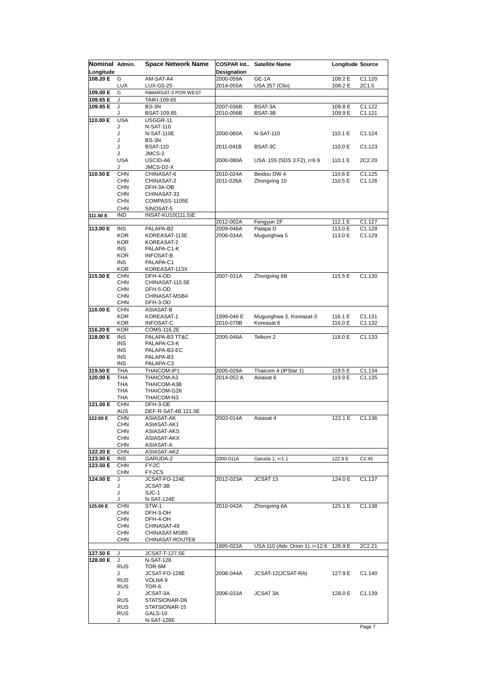| Nominal Admin. |                 | <b>Space Network Name</b> | <b>COSPAR Int</b> | <b>Satellite Name</b>                  | Longitude Source |                    |
|----------------|-----------------|---------------------------|-------------------|----------------------------------------|------------------|--------------------|
| Longitude      |                 |                           | Designation       |                                        |                  |                    |
| 108.20 E       | G               | AM-SAT-A4                 | 2000-059A         | GE-1A                                  | 108.2 E          | C1.120             |
|                | <b>LUX</b>      | LUX-G5-25                 | 2014-055A         | <b>USA 257 (Clio)</b>                  | 108.2 E          | 2C1.5              |
| 109.00 E       | G               | INMARSAT-3 POR WEST       |                   |                                        |                  |                    |
| 109.65 E       | J               | TAIKI-109.65              |                   |                                        |                  |                    |
| 109.85 E       | J               | BS-3N                     | 2007-036B         | BSAT-3A                                | 109.8 E          | C <sub>1.122</sub> |
|                | J               | BSAT-109.85               | 2010-056B         | BSAT-3B                                | 109.9 E          | C1.121             |
| 110.00 E       | <b>USA</b>      | USGGR-11                  |                   |                                        |                  |                    |
|                | J               | N-SAT-110                 |                   |                                        |                  |                    |
|                | J               | N-SAT-110E                | 2000-060A         | N-SAT-110                              | 110.1 E          | C1.124             |
|                | J               | BS-3N                     |                   |                                        |                  |                    |
|                | J               | <b>BSAT-110</b>           | 2011-041B         | BSAT-3C                                | 110.0 E          | C <sub>1.123</sub> |
|                | J               | JMCS-2                    |                   |                                        |                  |                    |
|                | <b>USA</b>      | USCID-A6                  | 2000-080A         | USA 155 (SDS 3 F2), i=6.9              | 110.1 E          | 2C2.20             |
|                | J               | JMCS-D2-X                 |                   |                                        |                  |                    |
| 110.50 E       | <b>CHN</b>      | CHINASAT-6                | 2010-024A         | Beidou DW 4                            | 110.6 E          | C1.125             |
|                | <b>CHN</b>      | CHINASAT-2                | 2011-026A         | Zhongxing 10                           | 110.5 E          | C1.126             |
|                | <b>CHN</b>      | DFH-3A-OB                 |                   |                                        |                  |                    |
|                | <b>CHN</b>      | CHINASAT-33               |                   |                                        |                  |                    |
|                | <b>CHN</b>      | COMPASS-1105E             |                   |                                        |                  |                    |
|                | <b>CHN</b>      | SINOSAT-5                 |                   |                                        |                  |                    |
| 111.50 E       | <b>IND</b>      | INSAT-KU10(111.5)E        |                   |                                        |                  |                    |
|                |                 |                           | 2012-002A         | Fengyun 2F                             | 112.1 E          | C1.127             |
| 113.00 E       | <b>INS</b>      | PALAPA-B2                 | 2009-046A         | Palapa D                               | 113.0 E          | C1.128             |
|                | <b>KOR</b>      | KOREASAT-113E             | 2006-034A         | Mugunghwa 5                            | 113.0 E          | C1.129             |
|                | <b>KOR</b>      | KOREASAT-2                |                   |                                        |                  |                    |
|                | <b>INS</b>      | PALAPA-C1-K               |                   |                                        |                  |                    |
|                | <b>KOR</b>      | <b>INFOSAT-B</b>          |                   |                                        |                  |                    |
|                | <b>INS</b>      | PALAPA-C1                 |                   |                                        |                  |                    |
|                | <b>KOR</b>      | KOREASAT-113X             |                   |                                        |                  |                    |
| 115.50 E       | <b>CHN</b>      | DFH-4-OD                  | 2007-031A         | Zhongxing 6B                           | 115.5 E          | C1.130             |
|                | <b>CHN</b>      | CHINASAT-115.5E           |                   |                                        |                  |                    |
|                | <b>CHN</b>      | DFH-5-OD                  |                   |                                        |                  |                    |
|                | <b>CHN</b>      | CHINASAT-MSB4             |                   |                                        |                  |                    |
|                | <b>CHN</b>      | DFH-3-OD                  |                   |                                        |                  |                    |
| 116.00 E       | <b>CHN</b>      | ASIASAT-B                 |                   |                                        |                  |                    |
|                | <b>KOR</b>      | KOREASAT-1                | 1999-046 E        | Mugunghwa 3, Koreasat-3                | 116.1 E          | C1.131             |
|                | <b>KOR</b>      | <b>INFOSAT-C</b>          | 2010-070B         | Koreasat 6                             | 116.0 E          | C1.132             |
| 116.20 E       | <b>KOR</b>      | COMS-116.2E               |                   |                                        |                  |                    |
| 118.00 E       | <b>INS</b>      | PALAPA-B3 TT&C            | 2005-046A         | Telkom <sub>2</sub>                    | 118.0 E          | C1.133             |
|                | <b>INS</b>      | PALAPA-C3-K               |                   |                                        |                  |                    |
|                | <b>INS</b>      | PALAPA-B3-EC              |                   |                                        |                  |                    |
|                | <b>INS</b>      | PALAPA-B3                 |                   |                                        |                  |                    |
|                | INS             | PALAPA-C3                 |                   |                                        |                  |                    |
| 119.50 E       | <b>THA</b>      | THAICOM-IP1               | 2005-028A         | Thaicom 4 (IPStar 1)                   | 119.5 E          | C1.134             |
| 120.00 E       | <b>THA</b>      | THAICOM-A3                | 2014-052 A        | Asiasat 6                              | 119.9 E          | C1.135             |
|                | THA<br>THA      | THAICOM-A3B               |                   |                                        |                  |                    |
|                | THA             | THAICOM-G2K               |                   |                                        |                  |                    |
| 121.00 E       | <b>CHN</b>      | THAICOM-N3<br>DFH-3-OE    |                   |                                        |                  |                    |
|                | AUS             | DEF-R-SAT-4B 121.0E       |                   |                                        |                  |                    |
| 122.00 E       | <b>CHN</b>      | ASIASAT-AK                | 2003-014A         | Asiasat 4                              | 122.1 E          | C1.136             |
|                | CHN             | ASIASAT-AK1               |                   |                                        |                  |                    |
|                | CHN             | ASIASAT-AKS               |                   |                                        |                  |                    |
|                | <b>CHN</b>      | ASIASAT-AKX               |                   |                                        |                  |                    |
|                | <b>CHN</b>      | ASIASAT-A                 |                   |                                        |                  |                    |
| 122.20 E       | <b>CHN</b>      | ASIASAT-AKZ               |                   |                                        |                  |                    |
| 123.00 E       | INS.            | GARUDA-2                  | 2000-011A         | Garuda 1, i=1.1                        | 122.9 E          | C <sub>2</sub> .45 |
| 123.50 E       | <b>CHN</b>      | FY-2C                     |                   |                                        |                  |                    |
|                | <b>CHN</b>      | FY-2CS                    |                   |                                        |                  |                    |
| 124.00 E       | J               | JCSAT-FO-124E             | 2012-023A         | JCSAT <sub>13</sub>                    | 124.0 E          | C1.137             |
|                | J               | JCSAT-3B                  |                   |                                        |                  |                    |
|                | J               | SJC-1                     |                   |                                        |                  |                    |
|                | J               | N-SAT-124E                |                   |                                        |                  |                    |
| 125.00 E       | CHN             | STW-1                     | 2010-042A         | Zhongxing 6A                           | 125.1 E          | C1.138             |
|                | <b>CHN</b>      | DFH-3-OH                  |                   |                                        |                  |                    |
|                | <b>CHN</b>      | DFH-4-OH                  |                   |                                        |                  |                    |
|                | <b>CHN</b>      | CHINASAT-49               |                   |                                        |                  |                    |
|                | CHN             | CHINASAT-MSB5             |                   |                                        |                  |                    |
|                | <b>CHN</b>      | CHINASAT-ROUTE8           |                   |                                        |                  |                    |
|                |                 |                           | 1995-022A         | USA 110 (Adv. Orion 1), i=12.6 126.9 E |                  | 2C2.21             |
| 127.50 E       | J               | JCSAT-T-127.5E            |                   |                                        |                  |                    |
| 128.00 E       | J               | <b>N-SAT-128</b>          |                   |                                        |                  |                    |
|                | <b>RUS</b>      | TOR-6M                    |                   |                                        |                  |                    |
|                | J               | JCSAT-FO-128E             | 2008-044A         | JCSAT-12(JCSAT-RA)                     | 127.9 E          | C1.140             |
|                | <b>RUS</b>      | VOLNA 9                   |                   |                                        |                  |                    |
|                | <b>RUS</b><br>J | TOR-6<br>JCSAT-3A         |                   |                                        |                  |                    |
|                | <b>RUS</b>      | STATSIONAR-D6             | 2006-033A         | JCSAT 3A                               | 128.0 E          | C <sub>1.139</sub> |
|                | <b>RUS</b>      | STATSIONAR-15             |                   |                                        |                  |                    |
|                | <b>RUS</b>      | GALS-10                   |                   |                                        |                  |                    |
|                | J               | N-SAT-128E                |                   |                                        |                  |                    |
|                |                 |                           |                   |                                        |                  |                    |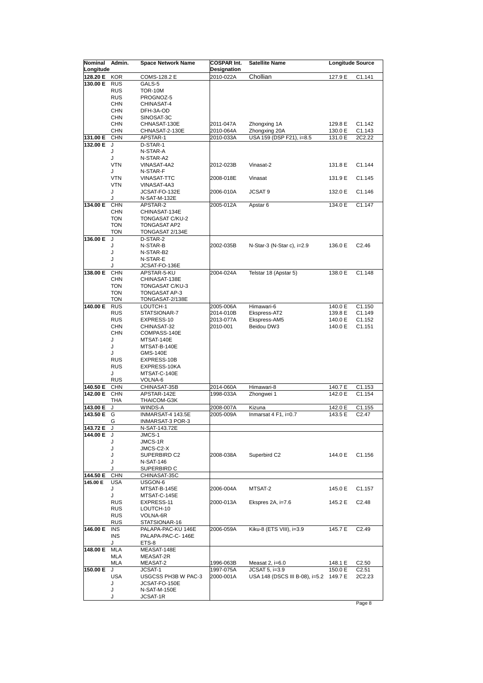| Nominal               | Admin.                   | <b>Space Network Name</b>         | <b>COSPAR Int.</b>       | <b>Satellite Name</b>                     | <b>Longitude Source</b> |                    |
|-----------------------|--------------------------|-----------------------------------|--------------------------|-------------------------------------------|-------------------------|--------------------|
| Longitude<br>128.20 E | <b>KOR</b>               | COMS-128.2 E                      | Designation<br>2010-022A | Chollian                                  | 127.9 E                 | C1.141             |
| 130.00 E RUS          |                          | GALS-5                            |                          |                                           |                         |                    |
|                       | <b>RUS</b>               | <b>TOR-10M</b>                    |                          |                                           |                         |                    |
|                       | <b>RUS</b>               | PROGNOZ-5                         |                          |                                           |                         |                    |
|                       | <b>CHN</b>               | CHINASAT-4                        |                          |                                           |                         |                    |
|                       | <b>CHN</b>               | DFH-3A-OD                         |                          |                                           |                         |                    |
|                       | <b>CHN</b>               | SINOSAT-3C                        |                          |                                           |                         |                    |
|                       | <b>CHN</b><br><b>CHN</b> | CHNASAT-130E                      | 2011-047A                | Zhongxing 1A                              | 129.8 E                 | C1.142             |
| 131.00 E              | <b>CHN</b>               | CHNASAT-2-130E<br>APSTAR-1        | 2010-064A<br>2010-033A   | Zhongxing 20A<br>USA 159 (DSP F21), i=8.5 | 130.0 E<br>131.0 E      | C1.143<br>2C2.22   |
| 132.00 E              | J                        | D-STAR-1                          |                          |                                           |                         |                    |
|                       | J                        | N-STAR-A                          |                          |                                           |                         |                    |
|                       | J                        | N-STAR-A2                         |                          |                                           |                         |                    |
|                       | VTN                      | VINASAT-4A2                       | 2012-023B                | Vinasat-2                                 | 131.8 E                 | C1.144             |
|                       | J                        | N-STAR-F                          |                          |                                           |                         |                    |
|                       | VTN<br>VTN               | <b>VINASAT-TTC</b><br>VINASAT-4A3 | 2008-018E                | Vinasat                                   | 131.9 E                 | C1.145             |
|                       | J                        | JCSAT-FO-132E                     | 2006-010A                | JCSAT 9                                   | 132.0 E                 | C <sub>1.146</sub> |
|                       | J                        | N-SAT-M-132E                      |                          |                                           |                         |                    |
| 134.00 E              | <b>CHN</b>               | APSTAR-2                          | 2005-012A                | Apstar 6                                  | 134.0 E                 | C1.147             |
|                       | <b>CHN</b>               | CHINASAT-134E                     |                          |                                           |                         |                    |
|                       | <b>TON</b>               | <b>TONGASAT C/KU-2</b>            |                          |                                           |                         |                    |
|                       | <b>TON</b>               | <b>TONGASAT AP2</b>               |                          |                                           |                         |                    |
| 136.00 E              | <b>TON</b><br>J          | TONGASAT 2/134E<br>D-STAR-2       |                          |                                           |                         |                    |
|                       | J                        | N-STAR-B                          | 2002-035B                | N-Star-3 (N-Star c), i=2.9                | 136.0 E                 | C2.46              |
|                       | J                        | N-STAR-B2                         |                          |                                           |                         |                    |
|                       | J                        | N-STAR-E                          |                          |                                           |                         |                    |
|                       | J                        | JCSAT-FO-136E                     |                          |                                           |                         |                    |
| 138.00 E              | <b>CHN</b>               | APSTAR-5-KU                       | 2004-024A                | Telstar 18 (Apstar 5)                     | 138.0 E                 | C1.148             |
|                       | <b>CHN</b>               | CHINASAT-138E                     |                          |                                           |                         |                    |
|                       | <b>TON</b><br><b>TON</b> | TONGASAT C/KU-3<br>TONGASAT AP-3  |                          |                                           |                         |                    |
|                       | <b>TON</b>               | TONGASAT-2/138E                   |                          |                                           |                         |                    |
| 140.00 E              | <b>RUS</b>               | LOUTCH-1                          | 2005-006A                | Himawari-6                                | 140.0 E                 | C1.150             |
|                       | <b>RUS</b>               | STATSIONAR-7                      | 2014-010B                | Ekspress-AT2                              | 139.8 E                 | C1.149             |
|                       | <b>RUS</b>               | EXPRESS-10                        | 2013-077A                | Ekspress-AM5                              | 140.0 E                 | C1.152             |
|                       | <b>CHN</b>               | CHINASAT-32                       | 2010-001                 | Beidou DW3                                | 140.0 E                 | C1.151             |
|                       | <b>CHN</b>               | COMPASS-140E                      |                          |                                           |                         |                    |
|                       | J<br>J                   | MTSAT-140E<br>MTSAT-B-140E        |                          |                                           |                         |                    |
|                       | J                        | <b>GMS-140E</b>                   |                          |                                           |                         |                    |
|                       | <b>RUS</b>               | EXPRESS-10B                       |                          |                                           |                         |                    |
|                       | <b>RUS</b>               | EXPRESS-10KA                      |                          |                                           |                         |                    |
|                       | J                        | MTSAT-C-140E                      |                          |                                           |                         |                    |
|                       | <b>RUS</b>               | VOLNA-6                           |                          |                                           |                         |                    |
| 140.50 E              | <b>CHN</b>               | CHINASAT-35B                      | 2014-060A                | Himawari-8                                | 140.7 E                 | C1.153             |
| 142.00 E              | <b>CHN</b><br>THA        | APSTAR-142E<br>THAICOM-G3K        | 1998-033A                | Zhongwei 1                                | 142.0 E                 | C1.154             |
| 143.00 E              | J                        | WINDS-A                           | 2008-007A                | Kizuna                                    | 142.0 E                 | C1.155             |
| 143.50 E              | G                        | INMARSAT-4 143.5E                 | 2005-009A                | Inmarsat $4$ F1, $i=0.7$                  | 143.5 E                 | C <sub>2</sub> .47 |
|                       | G                        | INMARSAT-3 POR-3                  |                          |                                           |                         |                    |
| 143.72 E J            |                          | N-SAT-143.72E                     |                          |                                           |                         |                    |
| 144.00 E              | J                        | JMCS-1                            |                          |                                           |                         |                    |
|                       | J<br>J                   | JMCS-1R<br>JMCS-C2-X              |                          |                                           |                         |                    |
|                       | J                        | SUPERBIRD C2                      | 2008-038A                | Superbird C2                              | 144.0 E                 | C1.156             |
|                       | J                        | <b>N-SAT-146</b>                  |                          |                                           |                         |                    |
|                       | J                        | SUPERBIRD C                       |                          |                                           |                         |                    |
| 144.50 E              | <b>CHN</b>               | CHINASAT-35C                      |                          |                                           |                         |                    |
| 145.00 E              | <b>USA</b>               | USGON-6                           |                          |                                           |                         |                    |
|                       | J                        | MTSAT-B-145E                      | 2006-004A                | MTSAT-2                                   | 145.0 E                 | C1.157             |
|                       | J<br><b>RUS</b>          | MTSAT-C-145E<br>EXPRESS-11        | 2000-013A                | Ekspres $2A$ , $= 7.6$                    | 145.2 E                 | C2.48              |
|                       | <b>RUS</b>               | LOUTCH-10                         |                          |                                           |                         |                    |
|                       | <b>RUS</b>               | VOLNA-6R                          |                          |                                           |                         |                    |
|                       | <b>RUS</b>               | STATSIONAR-16                     |                          |                                           |                         |                    |
| 146.00 E              | <b>INS</b>               | PALAPA-PAC-KU 146E                | 2006-059A                | Kiku-8 (ETS VIII), i=3.9                  | 145.7 E                 | C2.49              |
|                       | INS                      | PALAPA-PAC-C-146E                 |                          |                                           |                         |                    |
|                       | J                        | ETS-8                             |                          |                                           |                         |                    |
| 148.00 E              | <b>MLA</b><br>MLA        | MEASAT-148E                       |                          |                                           |                         |                    |
|                       | <b>MLA</b>               | MEASAT-2R<br>MEASAT-2             | 1996-063B                | Measat $2$ , $i=6.0$                      | 148.1 E                 | C2.50              |
| 150.00 E              | J                        | JCSAT-1                           | 1997-075A                | JCSAT 5, i=3.9                            | 150.0 E                 | C2.51              |
|                       | <b>USA</b>               | USGCSS PH3B W PAC-3               | 2000-001A                | USA 148 (DSCS III B-08), i=5.2 149.7 E    |                         | 2C2.23             |
|                       | J                        | JCSAT-FO-150E                     |                          |                                           |                         |                    |
|                       | J                        | N-SAT-M-150E                      |                          |                                           |                         |                    |
|                       | J                        | JCSAT-1R                          |                          |                                           |                         |                    |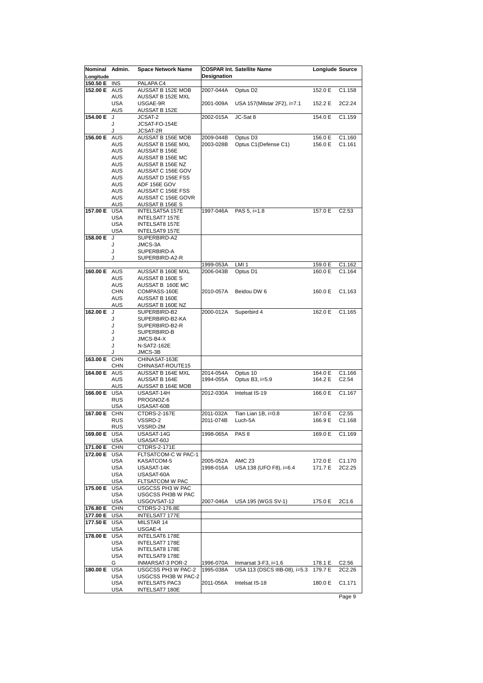| Nominal              | Admin.                   | <b>Space Network Name</b>               |                    | <b>COSPAR Int. Satellite Name</b>     | <b>Longiude Source</b> |                    |
|----------------------|--------------------------|-----------------------------------------|--------------------|---------------------------------------|------------------------|--------------------|
| Longitude            | <b>INS</b>               |                                         | <b>Designation</b> |                                       |                        |                    |
| 150.50 E<br>152.00 E | <b>AUS</b>               | PALAPA C4<br>AUSSAT B 152E MOB          | 2007-044A          | Optus D <sub>2</sub>                  | 152.0 E                | C1.158             |
|                      | <b>AUS</b>               | AUSSAT B 152E MXL                       |                    |                                       |                        |                    |
|                      | <b>USA</b>               | USGAE-9R                                | 2001-009A          | USA 157 (Milstar 2F2), i=7.1          | 152.2 E                | 2C2.24             |
|                      | AUS                      | AUSSAT B 152E                           |                    |                                       |                        |                    |
| 154.00 E             | J                        | JCSAT-2                                 | 2002-015A          | JC-Sat 8                              | 154.0 E                | C1.159             |
|                      | J<br>J                   | JCSAT-FO-154E                           |                    |                                       |                        |                    |
| 156.00 E AUS         |                          | JCSAT-2R<br>AUSSAT B 156E MOB           | 2009-044B          | Optus D3                              | 156.0 E                | C1.160             |
|                      | <b>AUS</b>               | AUSSAT B 156E MXL                       | 2003-028B          | Optus C1(Defense C1)                  | 156.0 E                | C1.161             |
|                      | <b>AUS</b>               | AUSSAT B 156E                           |                    |                                       |                        |                    |
|                      | <b>AUS</b>               | AUSSAT B 156E MC                        |                    |                                       |                        |                    |
|                      | <b>AUS</b>               | AUSSAT B 156E NZ<br>AUSSAT C 156E GOV   |                    |                                       |                        |                    |
|                      | <b>AUS</b><br><b>AUS</b> | AUSSAT D 156E FSS                       |                    |                                       |                        |                    |
|                      | AUS                      | ADF 156E GOV                            |                    |                                       |                        |                    |
|                      | <b>AUS</b>               | AUSSAT C 156E FSS                       |                    |                                       |                        |                    |
|                      | <b>AUS</b>               | AUSSAT C 156E GOVR                      |                    |                                       |                        |                    |
|                      | <b>AUS</b>               | AUSSAT B 156E S                         |                    |                                       |                        |                    |
| 157.00 E             | <b>USA</b><br><b>USA</b> | INTELSAT5A 157E<br>INTELSAT7 157E       | 1997-046A          | PAS 5, i=1.8                          | 157.0 E                | C2.53              |
|                      | <b>USA</b>               | <b>INTELSAT8 157E</b>                   |                    |                                       |                        |                    |
|                      | <b>USA</b>               | INTELSAT9 157E                          |                    |                                       |                        |                    |
| 158.00 E             | J                        | SUPERBIRD-A2                            |                    |                                       |                        |                    |
|                      | J                        | JMCS-3A                                 |                    |                                       |                        |                    |
|                      | J                        | SUPERBIRD-A                             |                    |                                       |                        |                    |
|                      | J                        | SUPERBIRD-A2-R                          | 1999-053A          | LMI <sub>1</sub>                      | 159.0 E                | C1.162             |
| 160.00 E AUS         |                          | AUSSAT B 160E MXL                       | 2006-043B          | Optus D1                              | 160.0 E                | C1.164             |
|                      | AUS                      | AUSSAT B 160E S                         |                    |                                       |                        |                    |
|                      | <b>AUS</b>               | AUSSAT B 160E MC                        |                    |                                       |                        |                    |
|                      | <b>CHN</b>               | COMPASS-160E                            | 2010-057A          | Beidou DW 6                           | 160.0 E                | C <sub>1.163</sub> |
|                      | AUS<br>AUS               | AUSSAT B 160E<br>AUSSAT B 160E NZ       |                    |                                       |                        |                    |
| 162.00 E             | J                        | SUPERBIRD-B2                            | 2000-012A          | Superbird 4                           | 162.0 E                | C1.165             |
|                      | J                        | SUPERBIRD-B2-KA                         |                    |                                       |                        |                    |
|                      | J                        | SUPERBIRD-B2-R                          |                    |                                       |                        |                    |
|                      | J                        | SUPERBIRD-B                             |                    |                                       |                        |                    |
|                      | J<br>J                   | JMCS-B4-X<br>N-SAT2-162E                |                    |                                       |                        |                    |
|                      | J                        | JMCS-3B                                 |                    |                                       |                        |                    |
| 163.00 E             | <b>CHN</b>               | CHINASAT-163E                           |                    |                                       |                        |                    |
|                      | CHN                      | CHINASAT-ROUTE15                        |                    |                                       |                        |                    |
| 164.00 E AUS         |                          | AUSSAT B 164E MXL                       | 2014-054A          | Optus 10                              | 164.0 E                | C1.166             |
|                      | <b>AUS</b>               | AUSSAT B 164E                           | 1994-055A          | Optus B3, i=5.9                       | 164.2 E                | C <sub>2.54</sub>  |
| 166.00 E             | AUS<br><b>USA</b>        | AUSSAT B 164E MOB<br>USASAT-14H         | 2012-030A          | Intelsat IS-19                        | 166.0 E                | C1.167             |
|                      | <b>RUS</b>               | PROGNOZ-6                               |                    |                                       |                        |                    |
|                      | <b>USA</b>               | USASAT-60B                              |                    |                                       |                        |                    |
| 167.00 E             | <b>CHN</b>               | CTDRS-2-167E                            | 2011-032A          | Tian Lian 1B, i=0.8                   | 167.0 E                | C <sub>2.55</sub>  |
|                      | <b>RUS</b>               | VSSRD-2                                 | 2011-074B          | Luch-5A                               | 166.9 E                | C <sub>1.168</sub> |
|                      | <b>RUS</b>               | VSSRD-2M                                |                    |                                       |                        |                    |
| 169.00 E USA         | <b>USA</b>               | USASAT-14G<br>USASAT-60J                | 1998-065A          | PAS <sub>8</sub>                      | 169.0 E                | C <sub>1.169</sub> |
| 171.00 E             | <b>CHN</b>               | CTDRS-2-171E                            |                    |                                       |                        |                    |
| 172.00 E             | <b>USA</b>               | FLTSATCOM-C W PAC-1                     |                    |                                       |                        |                    |
|                      | <b>USA</b>               | KASATCOM-5                              | 2005-052A          | <b>AMC 23</b>                         | 172.0 E                | C1.170             |
|                      | <b>USA</b>               | USASAT-14K                              | 1998-016A          | USA 138 (UFO F8), i=6.4               | 171.7 E                | 2C2.25             |
|                      | USA                      | USASAT-60A                              |                    |                                       |                        |                    |
| 175.00 E             | <b>USA</b><br><b>USA</b> | FLTSATCOM W PAC<br>USGCSS PH3 W PAC     |                    |                                       |                        |                    |
|                      | <b>USA</b>               | USGCSS PH3B W PAC                       |                    |                                       |                        |                    |
|                      | <b>USA</b>               | USGOVSAT-12                             | 2007-046A          | USA 195 (WGS SV-1)                    | 175.0 E                | 2C1.6              |
| 176.80 E             | <b>CHN</b>               | CTDRS-2-176.8E                          |                    |                                       |                        |                    |
| 177.00 E             | <b>USA</b>               | INTELSAT7 177E                          |                    |                                       |                        |                    |
| 177.50 E USA         |                          | MILSTAR 14                              |                    |                                       |                        |                    |
|                      | <b>USA</b>               | USGAE-4                                 |                    |                                       |                        |                    |
| 178.00 E USA         | USA                      | INTELSAT6 178E<br>INTELSAT7 178E        |                    |                                       |                        |                    |
|                      | <b>USA</b>               | INTELSAT8 178E                          |                    |                                       |                        |                    |
|                      | USA                      | INTELSAT9 178E                          |                    |                                       |                        |                    |
|                      | G                        | INMARSAT-3 POR-2                        | 1996-070A          | Inmarsat $3-F3$ , $i=1.6$             | 178.1 E                | C2.56              |
| 180.00 E             | <b>USA</b>               | USGCSS PH3 W PAC-2                      | 1995-038A          | USA 113 (DSCS IIIB-08), i=5.3 179.7 E |                        | 2C2.26             |
|                      | USA                      | USGCSS PH3B W PAC-2                     |                    |                                       |                        |                    |
|                      | <b>USA</b><br>USA        | <b>INTELSAT5 PAC3</b><br>INTELSAT7 180E | 2011-056A          | Intelsat IS-18                        | 180.0 E                | C1.171             |
|                      |                          |                                         |                    |                                       |                        | Page 9             |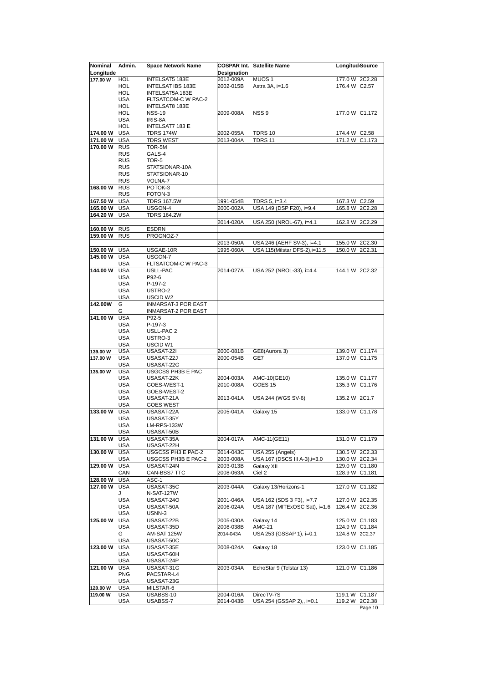| Nominal   | Admin.                   | <b>Space Network Name</b> |                    | <b>COSPAR Int. Satellite Name</b>                          | Longitud Source   |
|-----------|--------------------------|---------------------------|--------------------|------------------------------------------------------------|-------------------|
| Longitude |                          |                           | <b>Designation</b> |                                                            |                   |
| 177.00 W  | HOL                      | INTELSAT5 183E            | 2012-009A          | MUOS <sub>1</sub>                                          | 177.0 W 2C2.28    |
|           | HOL                      | <b>INTELSAT IBS 183E</b>  | 2002-015B          | Astra 3A, i=1.6                                            | 176.4 W C2.57     |
|           | <b>HOL</b>               | INTELSAT5A 183E           |                    |                                                            |                   |
|           | <b>USA</b>               | FLTSATCOM-C W PAC-2       |                    |                                                            |                   |
|           | <b>HOL</b>               | INTELSAT8 183E            |                    |                                                            | 177.0 W C1.172    |
|           | HOL<br><b>USA</b>        | <b>NSS-19</b><br>IRIS-8A  | 2009-008A          | NSS <sub>9</sub>                                           |                   |
|           | HOL                      | INTELSAT7 183 E           |                    |                                                            |                   |
| 174.00 W  | <b>USA</b>               | <b>TDRS 174W</b>          | 2002-055A          | TDRS 10                                                    | 174.4 W C2.58     |
| 171.00 W  | <b>USA</b>               | <b>TDRS WEST</b>          | 2013-004A          | <b>TDRS 11</b>                                             | 171.2 W C1.173    |
| 170.00 W  | <b>RUS</b>               | TOR-5M                    |                    |                                                            |                   |
|           | <b>RUS</b>               | GALS-4                    |                    |                                                            |                   |
|           | <b>RUS</b>               | TOR-5                     |                    |                                                            |                   |
|           | <b>RUS</b>               | STATSIONAR-10A            |                    |                                                            |                   |
|           | <b>RUS</b>               | STATSIONAR-10             |                    |                                                            |                   |
|           | <b>RUS</b>               | VOLNA-7                   |                    |                                                            |                   |
| 168.00 W  | <b>RUS</b>               | POTOK-3                   |                    |                                                            |                   |
|           | <b>RUS</b>               | FOTON-3                   |                    |                                                            |                   |
| 167.50 W  | <b>USA</b>               | <b>TDRS 167.5W</b>        | 1991-054B          | TDRS 5, i=3.4                                              | 167.3 W C2.59     |
| 165.00 W  | <b>USA</b>               | USGON-4                   | 2000-002A          | USA 149 (DSP F20), i=9.4                                   | 165.8 W 2C2.28    |
| 164.20 W  | <b>USA</b>               | <b>TDRS 164.2W</b>        |                    |                                                            |                   |
|           |                          |                           | 2014-020A          | USA 250 (NROL-67), i=4.1                                   | 162.8 W 2C2.29    |
| 160.00 W  | <b>RUS</b>               | <b>ESDRN</b>              |                    |                                                            |                   |
| 159.00 W  | <b>RUS</b>               | PROGNOZ-7                 |                    |                                                            |                   |
|           |                          |                           | 2013-050A          | USA 246 (AEHF SV-3), i=4.1                                 | 155.0 W 2C2.30    |
| 150.00 W  | <b>USA</b>               | USGAE-10R                 | 1995-060A          | USA 115(Milstar DFS-2), i=11.5                             | 150.0 W 2C2.31    |
| 145.00 W  | <b>USA</b>               | USGON-7                   |                    |                                                            |                   |
|           | <b>USA</b>               | FLTSATCOM-C W PAC-3       |                    |                                                            |                   |
| 144.00 W  | <b>USA</b>               | USLL-PAC                  | 2014-027A          | USA 252 (NROL-33), i=4.4                                   | 144.1 W 2C2.32    |
|           | <b>USA</b>               | P92-6                     |                    |                                                            |                   |
|           | <b>USA</b>               | P-197-2                   |                    |                                                            |                   |
|           | <b>USA</b>               | USTRO-2                   |                    |                                                            |                   |
|           | <b>USA</b>               | USCID W2                  |                    |                                                            |                   |
| 142.00W   | G                        | INMARSAT-3 POR EAST       |                    |                                                            |                   |
|           | G                        | INMARSAT-2 POR EAST       |                    |                                                            |                   |
| 141.00 W  | <b>USA</b>               | P92-5                     |                    |                                                            |                   |
|           | <b>USA</b>               | P-197-3                   |                    |                                                            |                   |
|           | USA                      | USLL-PAC 2                |                    |                                                            |                   |
|           | <b>USA</b><br><b>USA</b> | USTRO-3<br>USCID W1       |                    |                                                            |                   |
| 139.00 W  | <b>USA</b>               | USASAT-22I                | 2000-081B          | GE8(Aurora 3)                                              | 139.0 W C1.174    |
| 137.00 W  | <b>USA</b>               | USASAT-22J                | 2000-054B          | GE7                                                        | 137.0 W C1.175    |
|           | <b>USA</b>               | USASAT-22G                |                    |                                                            |                   |
| 135.00 W  | <b>USA</b>               | USGCSS PH3B E PAC         |                    |                                                            |                   |
|           | <b>USA</b>               | USASAT-22K                | 2004-003A          | AMC-10(GE10)                                               | 135.0 W C1.177    |
|           | <b>USA</b>               | GOES-WEST-1               | 2010-008A          | <b>GOES 15</b>                                             | 135.3 W C1.176    |
|           | <b>USA</b>               | GOES-WEST-2               |                    |                                                            |                   |
|           | <b>USA</b>               | USASAT-21A                | 2013-041A          | USA 244 (WGS SV-6)                                         | 135.2 W 2C1.7     |
|           | <b>USA</b>               | <b>GOES WEST</b>          |                    |                                                            |                   |
| 133.00 W  | <b>USA</b>               | USASAT-22A                | 2005-041A          | Galaxy 15                                                  | 133.0 W C1.178    |
|           | <b>USA</b>               | USASAT-35Y                |                    |                                                            |                   |
|           | <b>USA</b>               | LM-RPS-133W               |                    |                                                            |                   |
|           | USA                      | USASAT-50B                |                    |                                                            |                   |
| 131.00 W  | <b>USA</b>               | USASAT-35A                | 2004-017A          | AMC-11(GE11)                                               | 131.0 W C1.179    |
|           | USA                      | USASAT-22H                |                    |                                                            |                   |
| 130.00 W  | <b>USA</b>               | USGCSS PH3 E PAC-2        | 2014-043C          | USA 255 (Angels)                                           | 130.5 W 2C2.33    |
|           | <b>USA</b>               | USGCSS PH3B E PAC-2       | 2003-008A          | USA 167 (DSCS III A-3), i=3.0                              | 130.0 W 2C2.34    |
| 129.00 W  | <b>USA</b>               | USASAT-24N                | 2003-013B          | Galaxy XII                                                 | 129.0 W C1.180    |
|           | CAN                      | CAN-BSS7 TTC              | 2008-063A          | Ciel 2                                                     | 128.9 W C1.181    |
| 128.00 W  | <b>USA</b>               | ASC-1                     |                    |                                                            |                   |
| 127.00 W  | <b>USA</b>               | USASAT-35C                | 2003-044A          | Galaxy 13/Horizons-1                                       | 127.0 W C1.182    |
|           | J                        | N-SAT-127W                |                    |                                                            |                   |
|           | USA                      | USASAT-240                | 2001-046A          | USA 162 (SDS 3 F3), i=7.7<br>USA 187 (MITExOSC Sat), i=1.6 | 127.0 W 2C2.35    |
|           | USA<br>USA               | USASAT-50A<br>USNN-3      | 2006-024A          |                                                            | 126.4 W 2C2.36    |
| 125.00 W  | <b>USA</b>               | USASAT-22B                | 2005-030A          | Galaxy 14                                                  | 125.0 W C1.183    |
|           | <b>USA</b>               | USASAT-35D                | 2008-038B          | <b>AMC-21</b>                                              | 124.9 W C1.184    |
|           | G                        | AM-SAT 125W               | 2014-043A          | USA 253 (GSSAP 1), i=0.1                                   | 124.8 W 2C2.37    |
|           | USA                      | USASAT-50C                |                    |                                                            |                   |
| 123.00 W  | <b>USA</b>               | USASAT-35E                | 2008-024A          | Galaxy 18                                                  | 123.0 W C1.185    |
|           | <b>USA</b>               | USASAT-60H                |                    |                                                            |                   |
|           | USA                      | USASAT-24P                |                    |                                                            |                   |
| 121.00 W  | <b>USA</b>               | USASAT-31G                | 2003-034A          | EchoStar 9 (Telstar 13)                                    | 121.0 W C1.186    |
|           | PNG                      | PACSTAR-L4                |                    |                                                            |                   |
|           | <b>USA</b>               | USASAT-23G                |                    |                                                            |                   |
| 120.00 W  | USA                      | MILSTAR-6                 |                    |                                                            |                   |
| 119.00 W  | USA                      | USABSS-10                 | 2004-016A          | DirecTV-7S                                                 | 119.1 W C1.187    |
|           | USA                      | USABSS-7                  | 2014-043B          | USA 254 (GSSAP 2),, i=0.1                                  | 119.2 W<br>2C2.38 |
|           |                          |                           |                    |                                                            | Page 10           |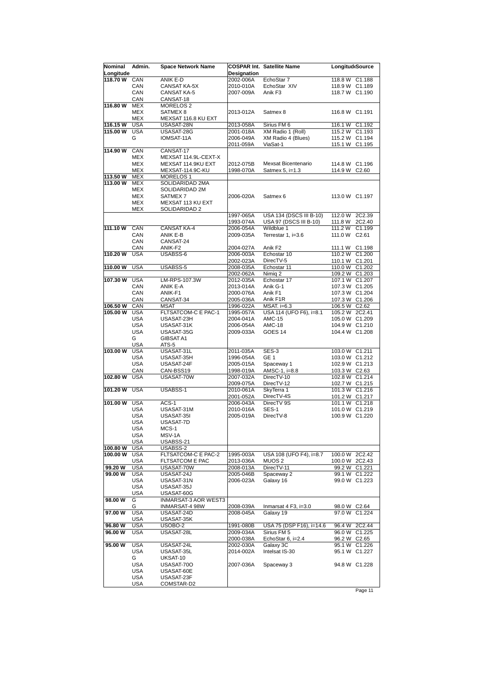| Nominal<br>Longitude | Admin.                   | <b>Space Network Name</b>              | Designation            | <b>COSPAR Int. Satellite Name</b>    | Longitud <sub>Gource</sub>             |
|----------------------|--------------------------|----------------------------------------|------------------------|--------------------------------------|----------------------------------------|
| 118.70 W             | CAN                      | ANIK E-D                               | 2002-006A              | EchoStar 7                           | 118.8 W C1.188                         |
|                      | <b>CAN</b>               | CANSAT KA-5X                           | 2010-010A              | EchoStar XIV                         | 118.9 W C1.189                         |
|                      | <b>CAN</b>               | <b>CANSAT KA-5</b>                     | 2007-009A              | Anik F3                              | 118.7 W C1.190                         |
|                      | CAN                      | CANSAT-18                              |                        |                                      |                                        |
| 116.80 W             | <b>MEX</b>               | MORELOS <sub>2</sub>                   |                        |                                      |                                        |
|                      | MEX                      | SATMEX <sub>8</sub>                    | 2013-012A              | Satmex 8                             | 116.8 W C1.191                         |
|                      | MEX                      | MEXSAT 116.8 KU EXT                    |                        |                                      |                                        |
| 116.15 W             | <b>USA</b>               | USASAT-28N                             | 2013-058A              | Sirius FM 6                          | 116.1 W C1.192                         |
| 115.00 W             | <b>USA</b>               | USASAT-28G                             | 2001-018A              | XM Radio 1 (Roll)                    | 115.2 W C1.193                         |
|                      | G                        | IOMSAT-11A                             | 2006-049A              | XM Radio 4 (Blues)                   | 115.2 W C1.194                         |
|                      |                          |                                        | 2011-059A              | ViaSat-1                             | 115.1 W C1.195                         |
| 114.90 W             | CAN                      | CANSAT-17                              |                        |                                      |                                        |
|                      | MEX                      | MEXSAT 114.9L-CEXT-X                   |                        |                                      |                                        |
|                      | <b>MEX</b>               | MEXSAT 114.9KU EXT                     | 2012-075B              | Mexsat Bicentenario                  | 114.8 W C1.196                         |
|                      | <b>MEX</b>               | MEXSAT-114.9C-KU                       | 1998-070A              | Satmex 5, i=1.3                      | 114.9 W C2.60                          |
| 113.50 W             | <b>MEX</b>               | MORELOS <sub>1</sub>                   |                        |                                      |                                        |
| 113.00 W             | <b>MEX</b>               | SOLIDARIDAD 2MA                        |                        |                                      |                                        |
|                      | MEX                      | SOLIDARIDAD 2M                         |                        |                                      |                                        |
|                      | MEX                      | SATMEX 7                               | 2006-020A              | Satmex 6                             | 113.0 W C1.197                         |
|                      | MEX                      | MEXSAT 113 KU EXT                      |                        |                                      |                                        |
|                      | <b>MEX</b>               | SOLIDARIDAD 2                          |                        |                                      |                                        |
|                      |                          |                                        | 1997-065A              | USA 134 (DSCS III B-10)              | 112.0 W 2C2.39                         |
| 111.10 W             |                          |                                        | 1993-074A<br>2006-054A | USA 97 (DSCS III B-10)<br>Wildblue 1 | 2C2.40<br>111.8 W<br>111.2 W<br>C1.199 |
|                      | CAN<br>CAN               | <b>CANSAT KA-4</b><br><b>ANIK E-B</b>  | 2009-035A              |                                      | 111.0 W C2.61                          |
|                      | CAN                      | CANSAT-24                              |                        | Terrestar 1, i=3.6                   |                                        |
|                      | CAN                      | ANIK-F2                                | 2004-027A              | Anik F <sub>2</sub>                  | 111.1 W C1.198                         |
| 110.20 W             | <b>USA</b>               | USABSS-6                               | 2006-003A              | Echostar 10                          | 110.2 W C1.200                         |
|                      |                          |                                        | 2002-023A              | DirecTV-5                            | 110.1 W C1.201                         |
| 110.00 W             | <b>USA</b>               | USABSS-5                               | 2008-035A              | Echostar 11                          | 110.0 W C1.202                         |
|                      |                          |                                        | 2002-062A              | Nimig 2                              | 109.2 W C1.203                         |
| 107.30 W             | <b>USA</b>               | LM-RPS-107.3W                          | 2012-035A              | Echostar 17                          | 107.1 W C1.207                         |
|                      | CAN                      | ANIK E-A                               | 2013-014A              | Anik G-1                             | 107.3 W C1.205                         |
|                      | CAN                      | ANIK-F1                                | 2000-076A              | Anik F1                              | 107.3 W C1.204                         |
|                      | CAN                      | CANSAT-34                              | 2005-036A              | Anik F1R                             | 107.3 W C1.206                         |
| 106.50 W             | CAN                      | <b>MSAT</b>                            | 1996-022A              | MSAT. i=6.3                          | 106.5 W C2.62                          |
| 105.00 W             | <b>USA</b>               | FLTSATCOM-C E PAC-1                    | 1995-057A              | USA 114 (UFO F6), i=8.1              | 105.2 W 2C2.41                         |
|                      | <b>USA</b>               | USASAT-23H                             | 2004-041A              | <b>AMC-15</b>                        | 105.0 W C1.209                         |
|                      | <b>USA</b><br><b>USA</b> | USASAT-31K<br>USASAT-35G               | 2006-054A<br>2009-033A | AMC-18                               | 104.9 W C1.210                         |
|                      | G                        | <b>GIBSAT A1</b>                       |                        | GOES 14                              | 104.4 W C1.208                         |
|                      | <b>USA</b>               | ATS-5                                  |                        |                                      |                                        |
| 103.00 W             | <b>USA</b>               | USASAT-31L                             | 2011-035A              | SES-3                                | 103.0 W C1.211                         |
|                      | <b>USA</b>               | USASAT-35H                             | 1996-054A              | GE <sub>1</sub>                      | 103.0 W C1.212                         |
|                      | <b>USA</b>               | USASAT-24F                             | 2005-015A              | Spaceway 1                           | 102.9 W C1.213                         |
|                      | <b>CAN</b>               | CAN-BSS19                              | 1998-019A              | AMSC-1, i=8.8                        | 103.3 W C2.63                          |
| 102.80 W             | <b>USA</b>               | USASAT-70W                             | 2007-032A              | DirecTV-10                           | 102.8 W C1.214                         |
|                      |                          |                                        | 2009-075A              | DirecTV-12                           | 102.7 W C1.215                         |
| 101.20 W             | <b>USA</b>               | USABSS-1                               | 2010-061A              | SkyTerra 1                           | 101.3 W C1.216                         |
| 101.00 W             | <b>USA</b>               | ACS-1                                  | 2001-052A              | DirecTV-4S                           | 101.2 W C1.217                         |
|                      | <b>USA</b>               | USASAT-31M                             | 2006-043A<br>2010-016A | DirecTV 9S<br>SES-1                  | 101.1 W C1.218<br>101.0 W C1.219       |
|                      | <b>USA</b>               | USASAT-35I                             | 2005-019A              | DirecTV-8                            | 100.9 W C1.220                         |
|                      | <b>USA</b>               | USASAT-7D                              |                        |                                      |                                        |
|                      | <b>USA</b>               | $MCS-1$                                |                        |                                      |                                        |
|                      | <b>USA</b>               | MSV-1A                                 |                        |                                      |                                        |
|                      | <b>USA</b>               | USABSS-21                              |                        |                                      |                                        |
| 100.80 W             | <b>USA</b>               | USABSS-2                               |                        |                                      |                                        |
| 100.00 W             | <b>USA</b>               | FLTSATCOM-C E PAC-2                    | 1995-003A              | USA 108 (UFO F4), i=8.7              | 100.0 W 2C2.42                         |
|                      | <b>USA</b>               | FLTSATCOM E PAC                        | 2013-036A              | MUOS <sub>2</sub>                    | 100.0 W 2C2.43                         |
| 99.20 W              | <b>USA</b>               | USASAT-70W                             | 2008-013A              | DirecTV-11                           | 99.2 W C1.221                          |
| 99.00 W              | <b>USA</b>               | USASAT-24J                             | 2005-046B              | Spaceway 2                           | 99.1 W C1.222                          |
|                      | USA                      | USASAT-31N                             | 2006-023A              | Galaxy 16                            | 99.0 W C1.223                          |
|                      | <b>USA</b>               | USASAT-35J                             |                        |                                      |                                        |
|                      | <b>USA</b>               | USASAT-60G                             |                        |                                      |                                        |
| 98.00 W              | G<br>G                   | INMARSAT-3 AOR WEST3<br>INMARSAT-4 98W | 2008-039A              | Inmarsat $4$ F3, i=3.0               | 98.0 W C2.64                           |
| 97.00 W              | <b>USA</b>               | USASAT-24D                             | 2008-045A              | Galaxy 19                            | 97.0 W C1.224                          |
|                      | <b>USA</b>               | USASAT-35K                             |                        |                                      |                                        |
| 96.80 W              | <b>USA</b>               | USOBO-2                                | 1991-080B              | USA 75 (DSP F16), i=14.6             | 96.4 W 2C2.44                          |
| 96.00 W              | <b>USA</b>               | USASAT-28L                             | 2009-034A              | Sirius FM 5                          | 96.0 W C1.225                          |
|                      |                          |                                        | 2000-038A              | EchoStar 6, $i=2.4$                  | 96.2 W C2.65                           |
| 95.00 W              | <b>USA</b>               | USASAT-24L                             | 2002-030A              | Galaxy 3C                            | 95.1 W C1.226                          |
|                      | <b>USA</b>               | USASAT-35L                             | 2014-002A              | Intelsat IS-30                       | 95.1 W C1.227                          |
|                      | G                        | UKSAT-10                               |                        |                                      |                                        |
|                      | <b>USA</b>               | USASAT-70O                             | 2007-036A              | Spaceway 3                           | 94.8 W C1.228                          |
|                      | <b>USA</b>               | USASAT-60E                             |                        |                                      |                                        |
|                      | USA<br><b>USA</b>        | USASAT-23F<br>COMSTAR-D2               |                        |                                      |                                        |
|                      |                          |                                        |                        |                                      |                                        |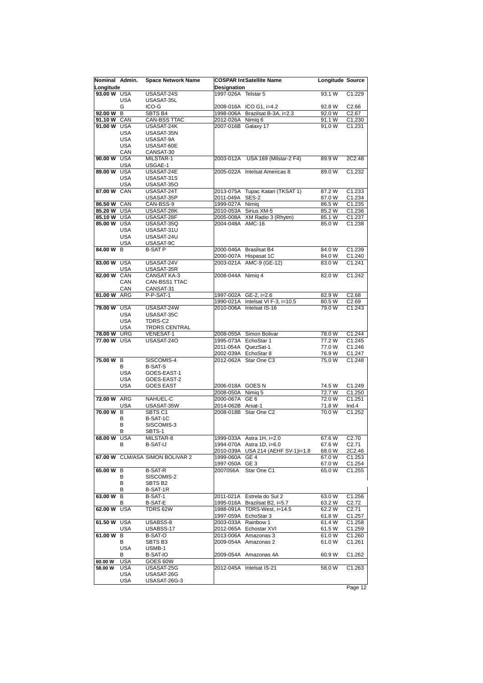| Nominal Admin.<br>Longitude |                          | <b>Space Network Name</b>           | <b>Designation</b>                  | <b>COSPAR IntSatellite Name</b>                        | Longitude Source |                    |
|-----------------------------|--------------------------|-------------------------------------|-------------------------------------|--------------------------------------------------------|------------------|--------------------|
| 93.00 W USA                 | <b>USA</b>               | USASAT-24S<br>USASAT-35L            | 1997-026A Telstar 5                 |                                                        | 93.1 W           | C1.229             |
|                             | G                        | ICO-G                               |                                     | 2008-016A ICO G1, i=4.2                                | 92.8 W           | C2.66              |
| 92.00 W                     | В                        | SBTS B4                             | 1998-006A                           | Brazilsat B-3A, i=2.3                                  | 92.0 W           | C2.67              |
| 91.10 W CAN                 |                          | CAN-BSS TTAC                        | 2012-026A                           | Nimig 6                                                | 91.1 W           | C1.230             |
| 91.00 W USA                 |                          | USASAT-24K                          | 2007-016B Galaxy 17                 |                                                        | 91.0 W           | C1.231             |
|                             | <b>USA</b><br><b>USA</b> | USASAT-35N<br>USASAT-9A             |                                     |                                                        |                  |                    |
|                             | <b>USA</b>               | USASAT-60E                          |                                     |                                                        |                  |                    |
|                             | CAN                      | CANSAT-30                           |                                     |                                                        |                  |                    |
| 90.00 W USA                 |                          | MILSTAR-1                           |                                     | 2003-012A USA 169 (Milstar-2 F4)                       | 89.9 W           | 2C2.48             |
|                             | <b>USA</b>               | USGAE-1                             |                                     |                                                        |                  |                    |
| 89.00 W USA                 |                          | USASAT-24E                          |                                     | 2005-022A Intelsat Americas 8                          | 89.0W            | C1.232             |
|                             | <b>USA</b><br><b>USA</b> | USASAT-31S<br>USASAT-35O            |                                     |                                                        |                  |                    |
| 87.00 W CAN                 |                          | USASAT-24T                          |                                     | 2013-075A Tupac Katari (TKSAT 1)                       | 87.2 W           | C1.233             |
|                             |                          | USASAT-35P                          | 2011-049A SES-2                     |                                                        | 87.0 W           | C1.234             |
| 86.50 W CAN                 |                          | CAN-BSS-9                           | 1999-027A Nimig                     |                                                        | 86.5 W           | C1.235             |
| 85.20 W USA                 |                          | USASAT-28K                          | 2010-053A                           | Sirius XM-5                                            | 85.2 W           | C1.236             |
| 85.10 W USA                 |                          | USASAT-28F                          | 2005-008A                           | XM Radio 3 (Rhytm)                                     | 85.1 W           | C1.237             |
| 85.00 W USA                 |                          | USASAT-35Q                          | 2004-048A AMC-16                    |                                                        | 85.0 W           | C1.238             |
|                             | <b>USA</b><br><b>USA</b> | USASAT-31U<br>USASAT-24U            |                                     |                                                        |                  |                    |
|                             | <b>USA</b>               | USASAT-9C                           |                                     |                                                        |                  |                    |
| 84.00 W                     | B                        | <b>B-SAT P</b>                      |                                     | 2000-046A Brasilsat B4                                 | 84.0 W           | C1.239             |
|                             |                          |                                     |                                     | 2000-007A Hispasat 1C                                  | 84.0 W           | C <sub>1.240</sub> |
| 83.00 W USA                 |                          | USASAT-24V                          |                                     | 2003-021A AMC-9 (GE-12)                                | 83.0 W           | C1.241             |
|                             | <b>USA</b>               | USASAT-35R                          |                                     |                                                        |                  |                    |
| 82.00 W CAN                 | CAN                      | <b>CANSAT KA-3</b><br>CAN-BSS1 TTAC | 2008-044A Nimig 4                   |                                                        | 82.0 W           | C1.242             |
|                             | CAN                      | CANSAT-31                           |                                     |                                                        |                  |                    |
| 81.00 W ARG                 |                          | P-P-SAT-1                           |                                     | 1997-002A GE-2, i=2.6                                  | 82.9 W           | C2.68              |
|                             |                          |                                     |                                     | 1990-021A Intelsat VI F-3, i=10.5                      | 80.5 W           | C2.69              |
| 79.00 W USA                 |                          | USASAT-24W                          | 2010-006A                           | Intelsat IS-16                                         | 79.0 W           | C1.243             |
|                             | <b>USA</b>               | USASAT-35C                          |                                     |                                                        |                  |                    |
|                             | <b>USA</b><br><b>USA</b> | TDRS-C2<br><b>TRDRS CENTRAL</b>     |                                     |                                                        |                  |                    |
| 78.00 W URG                 |                          | VENESAT-1                           |                                     | 2008-055A Simon Bolivar                                | 78.0 W           | C1.244             |
| 77.00 W USA                 |                          | USASAT-240                          |                                     | 1995-073A EchoStar 1                                   | 77.2 W           | C1.245             |
|                             |                          |                                     |                                     | 2011-054A QuezSat-1                                    | 77.0 W           | C1.246             |
| 75.00 W B                   |                          | SISCOMIS-4                          |                                     | 2002-039A EchoStar 8<br>2012-062A Star One C3          | 76.9 W<br>75.0 W | C1.247<br>C1.248   |
|                             | В                        | <b>B-SAT-S</b>                      |                                     |                                                        |                  |                    |
|                             | <b>USA</b>               | GOES-EAST-1                         |                                     |                                                        |                  |                    |
|                             | <b>USA</b>               | GOES-EAST-2                         |                                     |                                                        |                  |                    |
|                             | <b>USA</b>               | <b>GOES EAST</b>                    | 2006-018A GOES N                    |                                                        | 74.5 W           | C1.249             |
| 72.00 W ARG                 |                          | NAHUEL-C                            | 2008-050A Nimig 5<br>2000-067A GE 6 |                                                        | 72.7 W<br>72.0 W | C1.250<br>C1.251   |
|                             | <b>USA</b>               | USASAT-35W                          | 2014-062B Arsat-1                   |                                                        | 71.8 W           | Ind.4              |
| $70.00 W$ B                 |                          | SBTS C1                             |                                     | 2008-018B Star One C2                                  | 70.0 W           | C1.252             |
|                             | В                        | B-SAT-1C                            |                                     |                                                        |                  |                    |
|                             | B                        | SISCOMIS-3                          |                                     |                                                        |                  |                    |
|                             | в                        | SBTS-1<br>MILSTAR-8                 |                                     |                                                        | 67.6 W           | C <sub>2.70</sub>  |
| 68.00 W USA                 | В                        | B-SAT-IJ                            |                                     | 1999-033A Astra 1H, i=2.0<br>1994-070A Astra 1D, i=6.0 | 67.6 W           | C <sub>2.71</sub>  |
|                             |                          |                                     |                                     | 2010-039A USA 214 (AEHF SV-1)i=1.8                     | 68.0W            | 2C2.46             |
|                             |                          | 67.00 W CLM/ASA SIMON BOLIVAR 2     | 1999-060A GE 4                      |                                                        | 67.0 W           | C <sub>1.253</sub> |
|                             |                          |                                     | 1997-050A GE 3                      |                                                        | 67.0 W           | C1.254             |
| 65.00 W B                   | В                        | <b>B-SAT-R</b>                      | 2007056A                            | Star One C1                                            | 65.0 W           | C1.255             |
|                             | В                        | SISCOMIS-2<br>SBTS B <sub>2</sub>   |                                     |                                                        |                  |                    |
|                             | в                        | B-SAT-1R                            |                                     |                                                        |                  |                    |
| 63.00 $\overline{W}$        | В                        | B-SAT-1                             |                                     | 2011-021A Estrela do Sul 2                             | 63.0 W           | C1.256             |
|                             | В                        | <b>B-SAT-E</b>                      |                                     | 1995-016A Brazilsat B2, i=5.7                          | 63.2 W           | C2.72              |
| 62.00 W USA                 |                          | TDRS 62W                            |                                     | 1988-091A TDRS-West, i=14.5                            | 62.2 W           | C <sub>2.71</sub>  |
| 61.50 W USA                 |                          | USABSS-8                            |                                     | 1997-059A EchoStar 3<br>2003-033A Rainbow 1            | 61.8 W<br>61.4 W | C1.257<br>C1.258   |
|                             | <b>USA</b>               | USABSS-17                           |                                     | 2012-065A Echostar XVI                                 | 61.5 W           | C1.259             |
| 61.00 W                     | В                        | B-SAT-O                             |                                     | 2013-006A Amazonas 3                                   | 61.0 W           | C1.260             |
|                             | В                        | SBTS B3                             |                                     | 2009-054A Amazonas 2                                   | 61.0 W           | C1.261             |
|                             | <b>USA</b>               | USMB-1                              |                                     |                                                        |                  |                    |
| 60.00 W                     | В<br><b>USA</b>          | B-SAT-IO<br>GOES 60W                |                                     | 2009-054A Amazonas 4A                                  | 60.9 W           | C1.262             |
| 58.00 W                     | <b>USA</b>               | USASAT-25G                          |                                     | 2012-045A Intelsat IS-21                               | 58.0 W           | C <sub>1.263</sub> |
|                             | <b>USA</b>               | USASAT-26G                          |                                     |                                                        |                  |                    |
|                             | <b>USA</b>               | USASAT-26G-3                        |                                     |                                                        |                  |                    |
|                             |                          |                                     |                                     |                                                        |                  | Page 12            |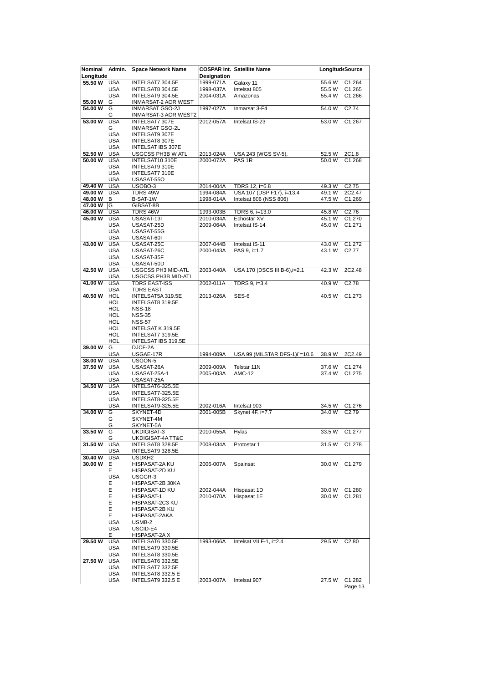| Nominal            | Admin.          | <b>Space Network Name</b>             |                    | <b>COSPAR Int. Satellite Name</b> | LongitudeSource |                   |
|--------------------|-----------------|---------------------------------------|--------------------|-----------------------------------|-----------------|-------------------|
| Longitude          |                 |                                       | <b>Designation</b> |                                   |                 |                   |
| 55.50 W            | <b>USA</b>      | INTELSAT7 304.5E                      | 1999-071A          | Galaxy 11                         | 55.6 W          | C1.264            |
|                    | <b>USA</b>      | INTELSAT8 304.5E                      | 1998-037A          | Intelsat 805                      | 55.5 W          | C1.265            |
|                    | <b>USA</b>      | INTELSAT9 304.5E                      | 2004-031A          | Amazonas                          | 55.4 W          | C1.266            |
| 55.00 W            | G               | INMARSAT-2 AOR WEST                   |                    |                                   |                 |                   |
| 54.00 W            | G               | <b>INMARSAT GSO-2J</b>                | 1997-027A          | Inmarsat 3-F4                     | 54.0 W          | C2.74             |
|                    | G               | INMARSAT-3 AOR WEST2                  |                    |                                   |                 |                   |
| 53.00 W            | <b>USA</b>      | <b>INTELSAT7 307E</b>                 | 2012-057A          | Intelsat IS-23                    | 53.0 W          | C1.267            |
|                    | G               | <b>INMARSAT GSO-2L</b>                |                    |                                   |                 |                   |
|                    | <b>USA</b>      | INTELSAT9 307E                        |                    |                                   |                 |                   |
|                    | <b>USA</b>      | INTELSAT8 307E                        |                    |                                   |                 |                   |
|                    | <b>USA</b>      | <b>INTELSAT IBS 307E</b>              |                    |                                   |                 |                   |
| 52.50 W            | <b>USA</b>      | <b>USGCSS PH3B W ATL</b>              | 2013-024A          | <b>USA 243 (WGS SV-5)</b>         | 52.5 W          | 2C1.8             |
| 50.00 W            | <b>USA</b>      | INTELSAT10 310E                       | 2000-072A          | PAS <sub>1R</sub>                 | 50.0 W          | C1.268            |
|                    | <b>USA</b>      | INTELSAT9 310E                        |                    |                                   |                 |                   |
|                    | <b>USA</b>      | INTELSAT7 310E                        |                    |                                   |                 |                   |
|                    | <b>USA</b>      | USASAT-550                            |                    |                                   |                 |                   |
| 49.40 W            | <b>USA</b>      | USOBO-3                               | 2014-004A          | TDRS 12, i=6.8                    | 49.3 W          | C2.75             |
| 49.00 W            | <b>USA</b>      |                                       |                    |                                   | 49.1 W          | 2C2.47            |
|                    |                 | TDRS 49W                              | 1994-084A          | USA 107 (DSP F17), i=13.4         |                 |                   |
| 48.00 W<br>47.00 W | В<br>ΙG         | B-SAT-1W                              | 1998-014A          | Intelsat 806 (NSS 806)            | 47.5 W          | C1.269            |
|                    |                 | GIBSAT-8B                             |                    |                                   |                 | C2.76             |
| 46.00 W            | <b>USA</b>      | TDRS 46W                              | 1993-003B          | TDRS 6, i=13.0                    | 45.8 W          |                   |
| 45.00 W            | <b>USA</b>      | USASAT-13I                            | 2010-034A          | Echostar XV                       | 45.1 W          | C1.270            |
|                    | <b>USA</b>      | USASAT-25D                            | 2009-064A          | Intelsat IS-14                    | 45.0 W          | C1.271            |
|                    | <b>USA</b>      | USASAT-55G                            |                    |                                   |                 |                   |
|                    | <b>USA</b>      | USASAT-60I                            |                    |                                   |                 |                   |
| 43.00 W            | <b>USA</b>      | USASAT-25C                            | 2007-044B          | Intelsat IS-11                    | 43.0 W          | C1.272            |
|                    | <b>USA</b>      | USASAT-26C                            | 2000-043A          | PAS 9, i=1.7                      | 43.1 W          | C <sub>2.77</sub> |
|                    | <b>USA</b>      | USASAT-35F                            |                    |                                   |                 |                   |
|                    | <b>USA</b>      | USASAT-50D                            |                    |                                   |                 |                   |
| 42.50 W            | <b>USA</b>      | USGCSS PH3 MID-ATL                    | 2003-040A          | USA 170 (DSCS III B-6), i=2.1     | 42.3 W          | 2C2.48            |
|                    | <b>USA</b>      | USGCSS PH3B MID-ATL                   |                    |                                   |                 |                   |
| 41.00 W            | <b>USA</b>      | <b>TDRS EAST-ISS</b>                  | 2002-011A          | TDRS 9, i=3.4                     | 40.9 W          | C2.78             |
|                    | <b>USA</b>      | <b>TDRS EAST</b>                      |                    |                                   |                 |                   |
| 40.50 W            | <b>HOL</b>      | INTELSAT5A 319.5E                     | 2013-026A          | SES-6                             | 40.5 W          | C1.273            |
|                    | <b>HOL</b>      | INTELSAT8 319.5E                      |                    |                                   |                 |                   |
|                    | <b>HOL</b>      | <b>NSS-18</b>                         |                    |                                   |                 |                   |
|                    | <b>HOL</b>      | <b>NSS-35</b>                         |                    |                                   |                 |                   |
|                    | <b>HOL</b>      | <b>NSS-57</b>                         |                    |                                   |                 |                   |
|                    | HOL             | INTELSAT K 319.5E                     |                    |                                   |                 |                   |
|                    | <b>HOL</b>      | INTELSAT7 319.5E                      |                    |                                   |                 |                   |
|                    | HOL             | INTELSAT IBS 319.5E                   |                    |                                   |                 |                   |
| 39.00 W            | G               | DJCF-2A                               |                    |                                   |                 |                   |
|                    | <b>USA</b>      | USGAE-17R                             | 1994-009A          | USA 99 (MILSTAR DFS-1)i'=10.6     | 38.9 W          | 2C2.49            |
| 38.00 W            | <b>USA</b>      | USGON-5                               |                    |                                   |                 |                   |
| 37.50 W            | <b>USA</b>      | USASAT-26A                            | 2009-009A          | Telstar 11N                       | 37.6 W          | C1.274            |
|                    | <b>USA</b>      | USASAT-25A-1                          | 2005-003A          | <b>AMC-12</b>                     | 37.4 W          | C1.275            |
|                    | <b>USA</b>      | USASAT-25A                            |                    |                                   |                 |                   |
| 34.50 W            | <b>USA</b>      | INTELSAT6-325.5E                      |                    |                                   |                 |                   |
|                    | <b>USA</b>      | INTELSAT7-325.5E                      |                    |                                   |                 |                   |
|                    | <b>USA</b>      | INTELSAT8-325.5E                      |                    |                                   |                 |                   |
|                    | <b>USA</b>      | INTELSAT9-325.5E                      | 2002-016A          | Intelsat 903                      | 34.5 W          | C1.276            |
| 34.00 W            | G               | SKYNET-4D                             | 2001-005B          | Skynet 4F, i=7.7                  | 34.0 W          | C2.79             |
|                    | G               | SKYNET-4M                             |                    |                                   |                 |                   |
|                    | G               | SKYNET-5A                             |                    |                                   |                 |                   |
| 33.50 W            | G<br>G          | UKDIGISAT-3                           | 2010-055A          | Hylas                             | 33.5 W          | C1.277            |
| 31.50 W            | <b>USA</b>      | UKDIGISAT-4A TT&C<br>INTELSAT8 328.5E | 2008-034A          | Protostar 1                       | 31.5 W          | C1.278            |
|                    | <b>USA</b>      | INTELSAT9 328.5E                      |                    |                                   |                 |                   |
| 30.40 W            | <b>USA</b>      | USDKH <sub>2</sub>                    |                    |                                   |                 |                   |
| 30.00 W            | Е               | HISPASAT-2A KU                        | 2006-007A          | Spainsat                          | 30.0 W          | C1.279            |
|                    |                 |                                       |                    |                                   |                 |                   |
|                    | Ε<br><b>USA</b> | HISPASAT-2D KU<br>USGGR-3             |                    |                                   |                 |                   |
|                    | Ε               | HISPASAT-2B 30KA                      |                    |                                   |                 |                   |
|                    | Ε               | HISPASAT-1D KU                        |                    |                                   |                 | C1.280            |
|                    | E               | HISPASAT-1                            | 2002-044A          | Hispasat 1D                       | 30.0 W          |                   |
|                    | E               | HISPASAT-2C3 KU                       | 2010-070A          | Hispasat 1E                       | 30.0 W          | C1.281            |
|                    | Ε               |                                       |                    |                                   |                 |                   |
|                    |                 | HISPASAT-2B KU                        |                    |                                   |                 |                   |
|                    | Ε               | HISPASAT-2AKA                         |                    |                                   |                 |                   |
|                    | USA             | USMB-2                                |                    |                                   |                 |                   |
|                    | <b>USA</b>      | USCID-E4                              |                    |                                   |                 |                   |
|                    | Ε               | HISPASAT-2A X                         |                    |                                   |                 |                   |
| 29.50 W            | <b>USA</b>      | INTELSAT6 330.5E                      | 1993-066A          | Intelsat VII F-1, i=2.4           | 29.5 W          | C <sub>2.80</sub> |
|                    | USA             | INTELSAT9 330.5E                      |                    |                                   |                 |                   |
|                    | <b>USA</b>      | INTELSAT8 330.5E                      |                    |                                   |                 |                   |
| 27.50 W            | <b>USA</b>      | INTELSAT6 332.5E                      |                    |                                   |                 |                   |
|                    | USA             | INTELSAT7 332.5E                      |                    |                                   |                 |                   |
|                    | <b>USA</b>      | INTELSAT8 332.5 E                     |                    |                                   |                 |                   |
|                    | <b>USA</b>      | INTELSAT9 332.5 E                     | 2003-007A          | Intelsat 907                      | 27.5 W          | C1.282            |
|                    |                 |                                       |                    |                                   |                 | Page 13           |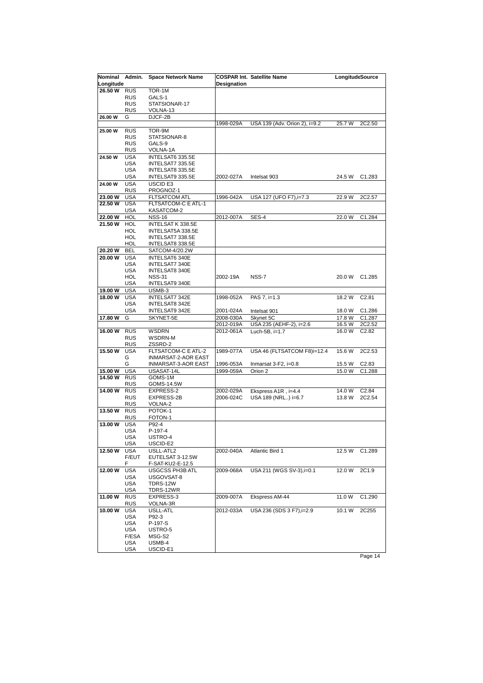| Nominal<br>Longitude | Admin.                   | <b>Space Network Name</b> | Designation | <b>COSPAR Int. Satellite Name</b> | LongitudeSource |                   |
|----------------------|--------------------------|---------------------------|-------------|-----------------------------------|-----------------|-------------------|
| 26.50 W              | <b>RUS</b>               | TOR-1M                    |             |                                   |                 |                   |
|                      | <b>RUS</b>               | GALS-1                    |             |                                   |                 |                   |
|                      | <b>RUS</b>               | STATSIONAR-17             |             |                                   |                 |                   |
|                      | <b>RUS</b>               | VOLNA-13                  |             |                                   |                 |                   |
| 26.00 W              | G                        | DJCF-2B                   |             |                                   |                 |                   |
|                      |                          |                           | 1998-029A   | USA 139 (Adv. Orion 2), i=9.2     | 25.7 W          | 2C2.50            |
| 25.00 W              | <b>RUS</b>               | TOR-9M                    |             |                                   |                 |                   |
|                      | <b>RUS</b>               | STATSIONAR-8              |             |                                   |                 |                   |
|                      | <b>RUS</b>               | GALS-9                    |             |                                   |                 |                   |
|                      | <b>RUS</b>               | VOLNA-1A                  |             |                                   |                 |                   |
| 24.50 W              | <b>USA</b>               | INTELSAT6 335.5E          |             |                                   |                 |                   |
|                      | <b>USA</b>               | INTELSAT7 335.5E          |             |                                   |                 |                   |
|                      | <b>USA</b>               | INTELSAT8 335.5E          |             |                                   |                 |                   |
|                      | <b>USA</b>               | INTELSAT9 335.5E          | 2002-027A   | Intelsat 903                      | 24.5 W          | C1.283            |
| 24.00 W              | <b>USA</b>               | USCID <sub>E3</sub>       |             |                                   |                 |                   |
|                      | <b>RUS</b>               | PROGNOZ-1                 |             |                                   |                 |                   |
| 23.00 W              | <b>USA</b>               | <b>FLTSATCOM ATL</b>      | 1996-042A   | USA 127 (UFO F7), i=7.3           | 22.9 W          | 2C2.57            |
| 22.50 W              | <b>USA</b>               | FLTSATCOM-C E ATL-1       |             |                                   |                 |                   |
|                      | <b>USA</b>               | KASATCOM-2                |             |                                   |                 |                   |
| 22.00 W              | <b>HOL</b>               | <b>NSS-16</b>             | 2012-007A   | SES-4                             | 22.0 W          | C1.284            |
| 21.50 W              | <b>HOL</b>               | INTELSAT K 338.5E         |             |                                   |                 |                   |
|                      | <b>HOL</b>               | INTELSAT5A 338.5E         |             |                                   |                 |                   |
|                      | HOL                      | INTELSAT7 338.5E          |             |                                   |                 |                   |
|                      | HOL                      | INTELSAT8 338.5E          |             |                                   |                 |                   |
| 20.20 W              | BEL                      | SATCOM-4/20.2W            |             |                                   |                 |                   |
| 20.00 W              | <b>USA</b>               | INTELSAT6 340E            |             |                                   |                 |                   |
|                      | <b>USA</b>               | INTELSAT7 340E            |             |                                   |                 |                   |
|                      | <b>USA</b>               | INTELSAT8 340E            |             |                                   |                 |                   |
|                      | <b>HOL</b>               | <b>NSS-31</b>             | 2002-19A    | NSS-7                             | 20.0 W          | C1.285            |
|                      | <b>USA</b>               | INTELSAT9 340E            |             |                                   |                 |                   |
| 19.00 W              | <b>USA</b>               | USMB-3                    |             |                                   |                 |                   |
| 18.00 W              | <b>USA</b>               | INTELSAT7 342E            | 1998-052A   | PAS 7, i=1.3                      | 18.2 W          | C2.81             |
|                      | <b>USA</b>               | INTELSAT8 342E            |             |                                   |                 |                   |
|                      | <b>USA</b>               | INTELSAT9 342E            | 2001-024A   | Intelsat 901                      | 18.0 W          | C1.286            |
| 17.80 W              | G                        | SKYNET-5E                 | 2008-030A   | Skynet 5C                         | 17.8 W          | C1.287            |
|                      |                          |                           | 2012-019A   | USA 235 (AEHF-2), i=2.6           | 16.5 W          | 2C2.52            |
| 16.00 W              | <b>RUS</b>               | <b>WSDRN</b>              | 2012-061A   | Luch-5B, i=1.7                    | 16.0 W          | C <sub>2.82</sub> |
|                      | <b>RUS</b>               | WSDRN-M                   |             |                                   |                 |                   |
|                      | <b>RUS</b>               | ZSSRD-2                   |             |                                   |                 |                   |
| 15.50 W              | <b>USA</b>               | FLTSATCOM-C E ATL-2       | 1989-077A   | USA 46 (FLTSATCOM F8)i=12.4       | 15.6 W          | 2C2.53            |
|                      | G                        | INMARSAT-2-AOR EAST       |             |                                   |                 |                   |
|                      | G                        | INMARSAT-3-AOR EAST       | 1996-053A   | Inmarsat $3$ -F2, $i=0.8$         | 15.5 W          | C <sub>2.83</sub> |
| 15.00 W              | <b>USA</b>               | USASAT-14L                | 1999-059A   | Orion 2                           | 15.0 W          | C1.288            |
| 14.50 W RUS          |                          | GOMS-1M                   |             |                                   |                 |                   |
|                      | <b>RUS</b>               | GOMS-14.5W                |             |                                   |                 |                   |
| 14.00 W              | <b>RUS</b>               | <b>EXPRESS-2</b>          | 2002-029A   | Ekspress A1R, i=4.4               | 14.0 W          | C <sub>2.84</sub> |
|                      | <b>RUS</b>               | EXPRESS-2B                | 2006-024C   | USA 189 (NRL) i=6.7               | 13.8 W          | 2C2.54            |
|                      | <b>RUS</b>               | VOLNA-2                   |             |                                   |                 |                   |
| 13.50 W              | <b>RUS</b>               | POTOK-1                   |             |                                   |                 |                   |
|                      | <b>RUS</b>               | FOTON-1                   |             |                                   |                 |                   |
| 13.00 W              | <b>USA</b>               | P92-4                     |             |                                   |                 |                   |
|                      | <b>USA</b>               | P-197-4                   |             |                                   |                 |                   |
|                      | USA                      | USTRO-4                   |             |                                   |                 |                   |
|                      | <b>USA</b>               | USCID-E2                  |             |                                   |                 |                   |
| 12.50 W              | <b>USA</b>               | USLL-ATL2                 | 2002-040A   | Atlantic Bird 1                   | 12.5 W          | C1.289            |
|                      | F/EUT                    | EUTELSAT 3-12.5W          |             |                                   |                 |                   |
|                      | F                        | F-SAT-KU2-E-12.5          |             | USA 211 (WGS SV-3), i=0.1         |                 |                   |
| 12.00 W              | <b>USA</b>               | <b>USGCSS PH3B ATL</b>    | 2009-068A   |                                   | 12.0 W          | 2C1.9             |
|                      | <b>USA</b><br><b>USA</b> | USGOVSAT-8<br>TDRS-12W    |             |                                   |                 |                   |
|                      | <b>USA</b>               |                           |             |                                   |                 |                   |
| 11.00 W              | <b>RUS</b>               | TDRS-12WR<br>EXPRESS-3    | 2009-007A   | Ekspress AM-44                    | 11.0 W          | C1.290            |
|                      | <b>RUS</b>               | VOLNA-3R                  |             |                                   |                 |                   |
| 10.00 W              | <b>USA</b>               | USLL-ATL                  | 2012-033A   | USA 236 (SDS 3 F7), i=2.9         | 10.1 W          | 2C255             |
|                      | <b>USA</b>               | P92-3                     |             |                                   |                 |                   |
|                      | <b>USA</b>               | P-197-S                   |             |                                   |                 |                   |
|                      | <b>USA</b>               | USTRO-5                   |             |                                   |                 |                   |
|                      | F/ESA                    | MSG-S2                    |             |                                   |                 |                   |
|                      | USA                      | USMB-4                    |             |                                   |                 |                   |
|                      | USA                      | USCID-E1                  |             |                                   |                 |                   |
|                      |                          |                           |             |                                   |                 |                   |